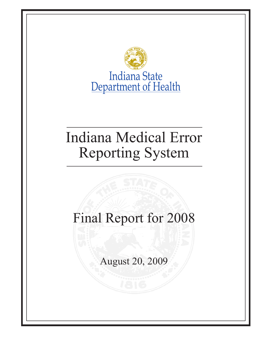

# Indiana Medical Error Reporting System

# Final Report for 2008

August 20, 2009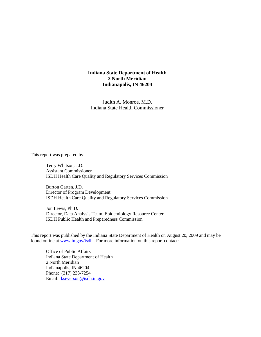### **Indiana State Department of Health 2 North Meridian Indianapolis, IN 46204**

Judith A. Monroe, M.D. Indiana State Health Commissioner

This report was prepared by:

Terry Whitson, J.D. Assistant Commissioner ISDH Health Care Quality and Regulatory Services Commission

Burton Garten, J.D. Director of Program Development ISDH Health Care Quality and Regulatory Services Commission

Jon Lewis, Ph.D. Director, Data Analysis Team, Epidemiology Resource Center ISDH Public Health and Preparedness Commission

This report was published by the Indiana State Department of Health on August 20, 2009 and may be found online at [www.in.gov/isdh.](http://www.in.gov/isdh) For more information on this report contact:

Office of Public Affairs Indiana State Department of Health 2 North Meridian Indianapolis, IN 46204 Phone: (317) 233-7254 Email: [kseverson@isdh.in.gov](mailto:kseverson@isdh.in.gov)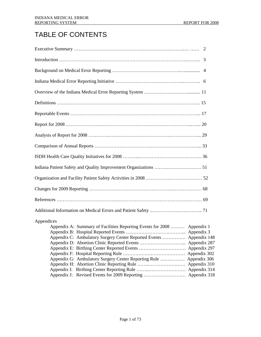# TABLE OF CONTENTS

| Appendices<br>Appendix A: Summary of Facilities Reporting Events for 2008  Appendix 1<br>Appendix C: Ambulatory Surgery Center Reported Events  Appendix 148<br>Appendix G: Ambulatory Surgery Center Reporting Rule  Appendix 306<br>Appendix J: Revised Events for 2009 Reporting  Appendix 318 |  |
|---------------------------------------------------------------------------------------------------------------------------------------------------------------------------------------------------------------------------------------------------------------------------------------------------|--|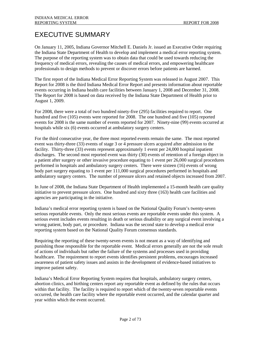# EXECUTIVE SUMMARY

On January 11, 2005, Indiana Governor Mitchell E. Daniels Jr. issued an Executive Order requiring the Indiana State Department of Health to develop and implement a medical error reporting system. The purpose of the reporting system was to obtain data that could be used towards reducing the frequency of medical errors, revealing the causes of medical errors, and empowering healthcare professionals to design methods to prevent or discover errors before patients are harmed.

The first report of the Indiana Medical Error Reporting System was released in August 2007. This Report for 2008 is the third Indiana Medical Error Report and presents information about reportable events occurring in Indiana health care facilities between January 1, 2008 and December 31, 2008. The Report for 2008 is based on data received by the Indiana State Department of Health prior to August 1, 2009.

For 2008, there were a total of two hundred ninety-five (295) facilities required to report. One hundred and five (105) events were reported for 2008. The one hundred and five (105) reported events for 2008 is the same number of events reported for 2007. Ninety-nine (99) events occurred at hospitals while six (6) events occurred at ambulatory surgery centers.

For the third consecutive year, the three most reported events remain the same. The most reported event was thirty-three (33) events of stage 3 or 4 pressure ulcers acquired after admission to the facility. Thirty-three (33) events represent approximately 1 event per 24,000 hospital inpatient discharges. The second most reported event was thirty (30) events of retention of a foreign object in a patient after surgery or other invasive procedure equating to 1 event per 26,000 surgical procedures performed in hospitals and ambulatory surgery centers. There were sixteen (16) events of wrong body part surgery equating to 1 event per 111,000 surgical procedures performed in hospitals and ambulatory surgery centers. The number of pressure ulcers and retained objects increased from 2007.

In June of 2008, the Indiana State Department of Health implemented a 15-month health care quality initiative to prevent pressure ulcers. One hundred and sixty three (163) health care facilities and agencies are participating in the initiative.

Indiana's medical error reporting system is based on the National Quality Forum's twenty-seven serious reportable events. Only the most serious events are reportable events under this system. A serious event includes events resulting in death or serious disability or any surgical event involving a wrong patient, body part, or procedure. Indiana was the second state to develop a medical error reporting system based on the National Quality Forum consensus standards.

Requiring the reporting of these twenty-seven events is not meant as a way of identifying and punishing those responsible for the reportable event. Medical errors generally are not the sole result of actions of individuals but rather the failure of the systems and processes used in providing healthcare. The requirement to report events identifies persistent problems, encourages increased awareness of patient safety issues and assists in the development of evidence-based initiatives to improve patient safety.

Indiana's Medical Error Reporting System requires that hospitals, ambulatory surgery centers, abortion clinics, and birthing centers report any reportable event as defined by the rules that occurs within that facility. The facility is required to report which of the twenty-seven reportable events occurred, the health care facility where the reportable event occurred, and the calendar quarter and year within which the event occurred.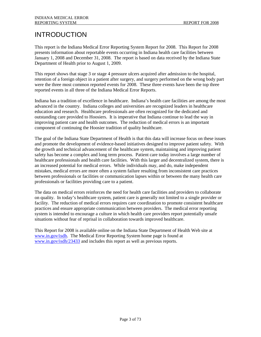# INTRODUCTION

This report is the Indiana Medical Error Reporting System Report for 2008. This Report for 2008 presents information about reportable events occurring in Indiana health care facilities between January 1, 2008 and December 31, 2008. The report is based on data received by the Indiana State Department of Health prior to August 1, 2009.

This report shows that stage 3 or stage 4 pressure ulcers acquired after admission to the hospital, retention of a foreign object in a patient after surgery, and surgery performed on the wrong body part were the three most common reported events for 2008. These three events have been the top three reported events in all three of the Indiana Medical Error Reports.

Indiana has a tradition of excellence in healthcare. Indiana's health care facilities are among the most advanced in the country. Indiana colleges and universities are recognized leaders in healthcare education and research. Healthcare professionals are often recognized for the dedicated and outstanding care provided to Hoosiers. It is imperative that Indiana continue to lead the way in improving patient care and health outcomes. The reduction of medical errors is an important component of continuing the Hoosier tradition of quality healthcare.

The goal of the Indiana State Department of Health is that this data will increase focus on these issues and promote the development of evidence-based initiatives designed to improve patient safety. With the growth and technical advancement of the healthcare system, maintaining and improving patient safety has become a complex and long term process. Patient care today involves a large number of healthcare professionals and health care facilities. With this larger and decentralized system, there is an increased potential for medical errors. While individuals may, and do, make independent mistakes, medical errors are more often a system failure resulting from inconsistent care practices between professionals or facilities or communication lapses within or between the many health care professionals or facilities providing care to a patient.

The data on medical errors reinforces the need for health care facilities and providers to collaborate on quality. In today's healthcare system, patient care is generally not limited to a single provider or facility. The reduction of medical errors requires care coordination to promote consistent healthcare practices and ensure appropriate communication between providers. The medical error reporting system is intended to encourage a culture in which health care providers report potentially unsafe situations without fear of reprisal in collaboration towards improved healthcare.

This Report for 2008 is available online on the Indiana State Department of Health Web site at [www.in.gov/isdh.](http://www.in.gov/isdh) The Medical Error Reporting System home page is found at [www.in.gov/isdh/23433](http://www.in.gov/isdh/23433) and includes this report as well as previous reports.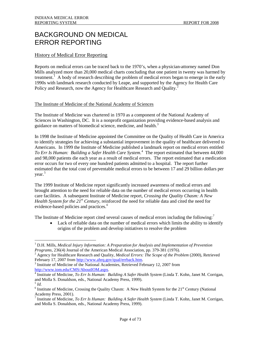# BACKGROUND ON MEDICAL ERROR REPORTING

#### History of Medical Error Reporting

Reports on medical errors can be traced back to the 1970's, when a physician-attorney named Don Mills analyzed more than 20,000 medical charts concluding that one patient in twenty was harmed by treatment.<sup>[1](#page-5-0)</sup> A body of research describing the problem of medical errors began to emerge in the early 1990s with landmark research conducted by Leape, and supported by the Agency for Health Care Policy and Research, now the Agency for Healthcare Research and Quality.<sup>[2](#page-5-1)</sup>

#### The Institute of Medicine of the National Academy of Sciences

The Institute of Medicine was chartered in 1970 as a component of the National Academy of Sciences in Washington, DC. It is a nonprofit organization providing evidence-based analysis and guidance on matters of biomedical science, medicine, and health. [3](#page-5-2)

In 1998 the Institute of Medicine appointed the Committee on the Quality of Health Care in America to identify strategies for achieving a substantial improvement in the quality of healthcare delivered to Americans. In 1999 the Institute of Medicine published a landmark report on medical errors entitled *To Err Is Human: Building a Safer Health Care System*. [4](#page-5-3) The report estimated that between 44,000 and 98,000 patients die each year as a result of medical errors. The report estimated that a medication error occurs for two of every one hundred patients admitted to a hospital. The report further estimated that the total cost of preventable medical errors to be between 17 and 29 billion dollars per year.<sup>[5](#page-5-4)</sup>

The 1999 Institute of Medicine report significantly increased awareness of medical errors and brought attention to the need for reliable data on the number of medical errors occurring in health care facilities. A subsequent Institute of Medicine report, *Crossing the Quality Chasm: A New Health System for the 21st Century,* reinforced the need for reliable data and cited the need for evidence-based policies and practices. *[6](#page-5-5)*

The Institute of Medicine report cited several causes of medical errors including the following:<sup>[7](#page-5-6)</sup>

• Lack of reliable data on the number of medical errors which limits the ability to identify origins of the problem and develop initiatives to resolve the problem

<span id="page-5-0"></span> <sup>1</sup> D.H. Mills, *Medical Injury Information: A Preparation for Analysis and Implementation of Prevention* 

<span id="page-5-1"></span>*Programs*, 236(4) Journal of the American Medical Association, pp. 379-381 (1976).<br><sup>2</sup> Agency for Healthcare Research and Quality, *Medical Errors: The Scope of the Problem* (2000), Retrieved February 17, 2007 from http:/

<span id="page-5-2"></span><sup>&</sup>lt;sup>3</sup> Institute of Medicine of the National Academies, Retrieved February 12, 2007 from http://www.iom.edu/CMS/AboutIOM.aspx.

<span id="page-5-3"></span><sup>&</sup>lt;sup>[4](http://www.iom.edu/CMS/AboutIOM.aspx)</sup> Institute of Medicine, *To Err Is Human: Building A Safer Health System* (Linda T. Kohn, Janet M. Corrigan, and Molla S. Donaldson, eds., National Academy Press, 1999). <sup>5</sup> *Id.*

<span id="page-5-5"></span><span id="page-5-4"></span> $6$  Institute of Medicine, Crossing the Quality Chasm: A New Health System for the 21 $^{\text{st}}$  Century (National Academy Press, 2001).

<span id="page-5-6"></span><sup>7</sup> Institute of Medicine, *To Err Is Human: Building A Safer Health System* (Linda T. Kohn, Janet M. Corrigan, and Molla S. Donaldson, eds., National Academy Press, 1999).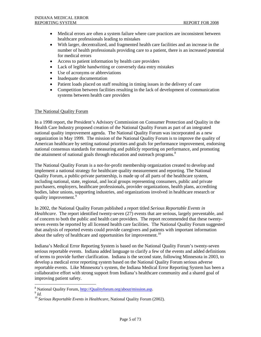- Medical errors are often a system failure where care practices are inconsistent between healthcare professionals leading to mistakes
- With larger, decentralized, and fragmented health care facilities and an increase in the number of health professionals providing care to a patient, there is an increased potential for medical errors
- Access to patient information by health care providers
- Lack of legible handwriting or conversely data entry mistakes
- Use of acronyms or abbreviations
- Inadequate documentation
- Patient loads placed on staff resulting in timing issues in the delivery of care
- Competition between facilities resulting in the lack of development of communication systems between health care providers

#### The National Quality Forum

In a 1998 report, the President's Advisory Commission on Consumer Protection and Quality in the Health Care Industry proposed creation of the National Quality Forum as part of an integrated national quality improvement agenda. The National Quality Forum was incorporated as a new organization in May 1999. The mission of the National Quality Forum is to improve the quality of American healthcare by setting national priorities and goals for performance improvement, endorsing national consensus standards for measuring and publicly reporting on performance, and promoting the attainment of national goals through education and outreach programs.<sup>[8](#page-6-0)</sup>

The National Quality Forum is a not-for-profit membership organization created to develop and implement a national strategy for healthcare quality measurement and reporting. The National Quality Forum, a public-private partnership, is made up of all parts of the healthcare system, including national, state, regional, and local groups representing consumers, public and private purchasers, employers, healthcare professionals, provider organizations, health plans, accrediting bodies, labor unions, supporting industries, and organizations involved in healthcare research or quality improvement.<sup>[9](#page-6-1)</sup>

In 2002, the National Quality Forum published a report titled *Serious Reportable Events in Healthcare*. The report identified twenty-seven (27) events that are serious, largely preventable, and of concern to both the public and health care providers. The report recommended that these twentyseven events be reported by all licensed health care facilities. The National Quality Forum suggested that analysis of reported events could provide caregivers and patients with important information about the safety of healthcare and opportunities for improvement.<sup>[10](#page-6-2)</sup>

Indiana's Medical Error Reporting System is based on the National Quality Forum's twenty-seven serious reportable events. Indiana added language to clarify a few of the events and added definitions of terms to provide further clarification. Indiana is the second state, following Minnesota in 2003, to develop a medical error reporting system based on the National Quality Forum serious adverse reportable events. Like Minnesota's system, the Indiana Medical Error Reporting System has been a collaborative effort with strong support from Indiana's healthcare community and a shared goal of improving patient safety.

<span id="page-6-2"></span><span id="page-6-1"></span><span id="page-6-0"></span>

<sup>8&</sup>lt;br><sup>8</sup> National Quality Forum, <sup>8</sup> National Quality Forum, <u>http://Qualityforum.org/about/mission.asp</u>.<br><sup>9</sup> *Id*.

<sup>10</sup> *Serious Reportable Events in Healthcare*, National Quality Forum (2002).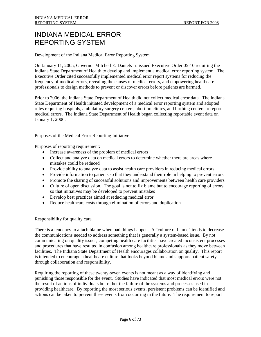# INDIANA MEDICAL ERROR REPORTING SYSTEM

#### Development of the Indiana Medical Error Reporting System

On January 11, 2005, Governor Mitchell E. Daniels Jr. issued Executive Order 05-10 requiring the Indiana State Department of Health to develop and implement a medical error reporting system. The Executive Order cited successfully implemented medical error report systems for reducing the frequency of medical errors, revealing the causes of medical errors, and empowering healthcare professionals to design methods to prevent or discover errors before patients are harmed.

Prior to 2006, the Indiana State Department of Health did not collect medical error data. The Indiana State Department of Health initiated development of a medical error reporting system and adopted rules requiring hospitals, ambulatory surgery centers, abortion clinics, and birthing centers to report medical errors. The Indiana State Department of Health began collecting reportable event data on January 1, 2006.

#### Purposes of the Medical Error Reporting Initiative

Purposes of reporting requirement:

- Increase awareness of the problem of medical errors
- Collect and analyze data on medical errors to determine whether there are areas where mistakes could be reduced
- Provide ability to analyze data to assist health care providers in reducing medical errors
- Provide information to patients so that they understand their role in helping to prevent errors
- Promote the sharing of successful solutions and improvements between health care providers
- Culture of open discussion. The goal is not to fix blame but to encourage reporting of errors so that initiatives may be developed to prevent mistakes
- Develop best practices aimed at reducing medical error
- Reduce healthcare costs through elimination of errors and duplication

#### Responsibility for quality care

There is a tendency to attach blame when bad things happen. A "culture of blame" tends to decrease the communications needed to address something that is generally a system-based issue. By not communicating on quality issues, competing health care facilities have created inconsistent processes and procedures that have resulted in confusion among healthcare professionals as they move between facilities. The Indiana State Department of Health encourages collaboration on quality. This report is intended to encourage a healthcare culture that looks beyond blame and supports patient safety through collaboration and responsibility.

Requiring the reporting of these twenty-seven events is not meant as a way of identifying and punishing those responsible for the event. Studies have indicated that most medical errors were not the result of actions of individuals but rather the failure of the systems and processes used in providing healthcare. By reporting the most serious events, persistent problems can be identified and actions can be taken to prevent these events from occurring in the future. The requirement to report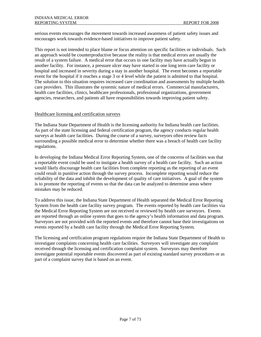serious events encourages the movement towards increased awareness of patient safety issues and encourages work towards evidence-based initiatives to improve patient safety.

This report is not intended to place blame or focus attention on specific facilities or individuals. Such an approach would be counterproductive because the reality is that medical errors are usually the result of a system failure. A medical error that occurs in one facility may have actually begun in another facility. For instance, a pressure ulcer may have started in one long term care facility or hospital and increased in severity during a stay in another hospital. The event becomes a reportable event for the hospital if it reaches a stage 3 or 4 level while the patient is admitted to that hospital. The solution to this situation requires increased care coordination and assessments by multiple health care providers. This illustrates the systemic nature of medical errors. Commercial manufacturers, health care facilities, clinics, healthcare professionals, professional organizations, government agencies, researchers, and patients all have responsibilities towards improving patient safety.

#### Healthcare licensing and certification surveys

The Indiana State Department of Health is the licensing authority for Indiana health care facilities. As part of the state licensing and federal certification program, the agency conducts regular health surveys at health care facilities. During the course of a survey, surveyors often review facts surrounding a possible medical error to determine whether there was a breach of health care facility regulations.

In developing the Indiana Medical Error Reporting System, one of the concerns of facilities was that a reportable event could be used to instigate a health survey of a health care facility. Such an action would likely discourage health care facilities from complete reporting as the reporting of an event could result in punitive action through the survey process. Incomplete reporting would reduce the reliability of the data and inhibit the development of quality of care initiatives. A goal of the system is to promote the reporting of events so that the data can be analyzed to determine areas where mistakes may be reduced.

To address this issue, the Indiana State Department of Health separated the Medical Error Reporting System from the health care facility survey program. The events reported by health care facilities via the Medical Error Reporting System are not received or reviewed by health care surveyors. Events are reported through an online system that goes to the agency's health information and data program. Surveyors are not provided with the reported events and therefore cannot base their investigations on events reported by a health care facility through the Medical Error Reporting System.

The licensing and certification program regulations require the Indiana State Department of Health to investigate complaints concerning health care facilities. Surveyors will investigate any complaint received through the licensing and certification complaint system. Surveyors may therefore investigate potential reportable events discovered as part of existing standard survey procedures or as part of a complaint survey that is based on an event.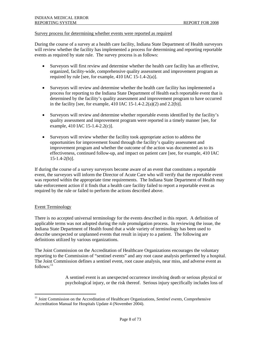#### Survey process for determining whether events were reported as required

During the course of a survey at a health care facility, Indiana State Department of Health surveyors will review whether the facility has implemented a process for determining and reporting reportable events as required by state rule. The survey process is as follows:

- Surveyors will first review and determine whether the health care facility has an effective, organized, facility-wide, comprehensive quality assessment and improvement program as required by rule [see, for example, 410 IAC 15-1.4-2(a)].
- Surveyors will review and determine whether the health care facility has implemented a process for reporting to the Indiana State Department of Health each reportable event that is determined by the facility's quality assessment and improvement program to have occurred in the facility [see, for example, 410 IAC 15-1.4-2.2(a)(2) and 2.2(b)].
- Surveyors will review and determine whether reportable events identified by the facility's quality assessment and improvement program were reported in a timely manner [see, for example, 410 IAC 15-1.4-2.2(c)].
- Surveyors will review whether the facility took appropriate action to address the opportunities for improvement found through the facility's quality assessment and improvement program and whether the outcome of the action was documented as to its effectiveness, continued follow-up, and impact on patient care [see, for example, 410 IAC  $15-1.4-2(b)$ ].

If during the course of a survey surveyors become aware of an event that constitutes a reportable event, the surveyors will inform the Director of Acute Care who will verify that the reportable event was reported within the appropriate time requirements. The Indiana State Department of Health may take enforcement action if it finds that a health care facility failed to report a reportable event as required by the rule or failed to perform the actions described above.

#### Event Terminology

There is no accepted universal terminology for the events described in this report. A definition of applicable terms was not adopted during the rule promulgation process. In reviewing the issue, the Indiana State Department of Health found that a wide variety of terminology has been used to describe unexpected or unplanned events that result in injury to a patient. The following are definitions utilized by various organizations.

The Joint Commission on the Accreditation of Healthcare Organizations encourages the voluntary reporting to the Commission of "sentinel events" and any root cause analysis performed by a hospital. The Joint Commission defines a sentinel event, root cause analysis, near miss, and adverse event as  $follows:$ <sup>[11](#page-9-0)</sup>

> A sentinel event is an unexpected occurrence involving death or serious physical or psychological injury, or the risk thereof. Serious injury specifically includes loss of

<span id="page-9-0"></span><sup>&</sup>lt;sup>11</sup> Joint Commission on the Accreditation of Healthcare Organizations, *Sentinel events*, Comprehensive Accreditation Manual for Hospitals Update 4 (November 2004).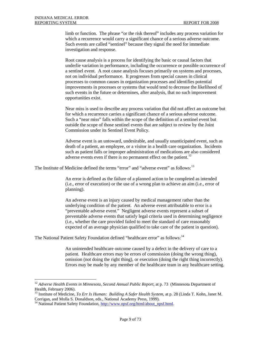limb or function. The phrase "or the risk thereof" includes any process variation for which a recurrence would carry a significant chance of a serious adverse outcome. Such events are called "sentinel" because they signal the need for immediate investigation and response.

Root cause analysis is a process for identifying the basic or causal factors that underlie variation in performance, including the occurrence or possible occurrence of a sentinel event. A root cause analysis focuses primarily on systems and processes, not on individual performance. It progresses from special causes in clinical processes to common causes in organization processes and identifies potential improvements in processes or systems that would tend to decrease the likelihood of such events in the future or determines, after analysis, that no such improvement opportunities exist.

Near miss is used to describe any process variation that did not affect an outcome but for which a recurrence carries a significant chance of a serious adverse outcome. Such a "near miss" falls within the scope of the definition of a sentinel event but outside the scope of those sentinel events that are subject to review by the Joint Commission under its Sentinel Event Policy.

Adverse event is an untoward, undesirable, and usually unanticipated event, such as death of a patient, an employee, or a visitor in a health care organization. Incidents such as patient falls or improper administration of medications are also considered adverse events even if there is no permanent effect on the patient.<sup>[12](#page-10-0)</sup>

The Institute of Medicine defined the terms "error" and "adverse event" as follows:<sup>[13](#page-10-1)</sup>

An error is defined as the failure of a planned action to be completed as intended (i.e., error of execution) or the use of a wrong plan to achieve an aim (i.e., error of planning).

An adverse event is an injury caused by medical management rather than the underlying condition of the patient. An adverse event attributable to error is a "preventable adverse event." Negligent adverse events represent a subset of preventable adverse events that satisfy legal criteria used in determining negligence (i.e., whether the care provided failed to meet the standard of care reasonably expected of an average physician qualified to take care of the patient in question).

The National Patient Safety Foundation defined "healthcare error" as follows:<sup>[14](#page-10-2)</sup>

An unintended healthcare outcome caused by a defect in the delivery of care to a patient. Healthcare errors may be errors of commission (doing the wrong thing), omission (not doing the right thing), or execution (doing the right thing incorrectly). Errors may be made by any member of the healthcare team in any healthcare setting.

<span id="page-10-0"></span><sup>&</sup>lt;sup>12</sup> Adverse Health Events in Minnesota, Second Annual Public Report, at p. 73 (Minnesota Department of Health, February 2006).

<span id="page-10-1"></span><sup>13</sup> Institute of Medicine, *To Err Is Human: Building A Safer Health System*, at p. 28 (Linda T. Kohn, Janet M. Corrigan, and Molla S. Donaldson, eds., National Academy Press, 1999).

<span id="page-10-2"></span><sup>&</sup>lt;sup>14</sup> National Patient Safety Foundation, http://www.npsf.org/html/about\_npsf.html.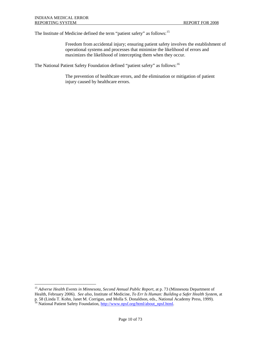The Institute of Medicine defined the term "patient safety" as follows:<sup>[15](#page-11-0)</sup>

Freedom from accidental injury; ensuring patient safety involves the establishment of operational systems and processes that minimize the likelihood of errors and maximizes the likelihood of intercepting them when they occur.

The National Patient Safety Foundation defined "patient safety" as follows:<sup>[16](#page-11-1)</sup>

The prevention of healthcare errors, and the elimination or mitigation of patient injury caused by healthcare errors.

<span id="page-11-0"></span><sup>&</sup>lt;sup>15</sup> Adverse Health Events in Minnesota, Second Annual Public Report, at p. 73 (Minnesota Department of Health, February 2006). *See also,* Institute of Medicine, *To Err Is Human: Building a Safer Health System*, at p. 58 (Linda T. Kohn, Janet M. Corrigan, and Molla S. Donaldson, eds., National Academy Press, 1999).

<span id="page-11-1"></span><sup>&</sup>lt;sup>16</sup> National Patient Safety Foundation, http://www.npsf.org/html/about\_npsf.html.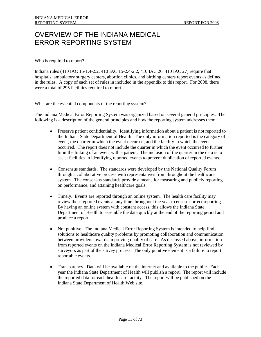# OVERVIEW OF THE INDIANA MEDICAL ERROR REPORTING SYSTEM

#### Who is required to report?

Indiana rules (410 IAC 15-1.4-2.2, 410 IAC 15-2.4-2.2, 410 IAC 26, 410 IAC 27) require that hospitals, ambulatory surgery centers, abortion clinics, and birthing centers report events as defined in the rules. A copy of each set of rules in included in the appendix to this report. For 2008, there were a total of 295 facilities required to report.

#### What are the essential components of the reporting system?

The Indiana Medical Error Reporting System was organized based on several general principles. The following is a description of the general principles and how the reporting system addresses them:

- Preserve patient confidentiality. Identifying information about a patient is not reported to the Indiana State Department of Health. The only information reported is the category of event, the quarter in which the event occurred, and the facility in which the event occurred. The report does not include the quarter in which the event occurred to further limit the linking of an event with a patient. The inclusion of the quarter in the data is to assist facilities in identifying reported events to prevent duplication of reported events.
- Consensus standards. The standards were developed by the National Quality Forum through a collaborative process with representatives from throughout the healthcare system. The consensus standards provide a means for measuring and publicly reporting on performance, and attaining healthcare goals.
- Timely. Events are reported through an online system. The health care facility may review their reported events at any time throughout the year to ensure correct reporting. By having an online system with constant access, this allows the Indiana State Department of Health to assemble the data quickly at the end of the reporting period and produce a report.
- Not punitive. The Indiana Medical Error Reporting System is intended to help find solutions to healthcare quality problems by promoting collaboration and communication between providers towards improving quality of care. As discussed above, information from reported events on the Indiana Medical Error Reporting System is not reviewed by surveyors as part of the survey process. The only punitive element is a failure to report reportable events.
- Transparency. Data will be available on the internet and available to the public. Each year the Indiana State Department of Health will publish a report. The report will include the reported data for each health care facility. The report will be published on the Indiana State Department of Health Web site.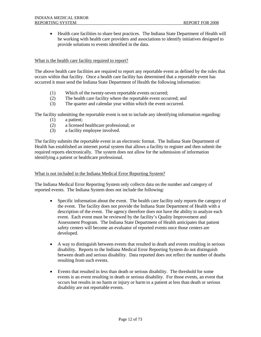• Health care facilities to share best practices. The Indiana State Department of Health will be working with health care providers and associations to identify initiatives designed to provide solutions to events identified in the data.

#### What is the health care facility required to report?

The above health care facilities are required to report any reportable event as defined by the rules that occurs within that facility. Once a health care facility has determined that a reportable event has occurred it must send the Indiana State Department of Health the following information:

- (1) Which of the twenty-seven reportable events occurred;
- (2) The health care facility where the reportable event occurred; and
- (3) The quarter and calendar year within which the event occurred.

The facility submitting the reportable event is not to include any identifying information regarding:

- (1) a patient;
- (2) a licensed healthcare professional; or
- (3) a facility employee involved.

The facility submits the reportable event in an electronic format. The Indiana State Department of Health has established an internet portal system that allows a facility to register and then submit the required reports electronically. The system does not allow for the submission of information identifying a patient or healthcare professional.

#### What is not included in the Indiana Medical Error Reporting System?

The Indiana Medical Error Reporting System only collects data on the number and category of reported events. The Indiana System does not include the following:

- Specific information about the event. The health care facility only reports the category of the event. The facility does not provide the Indiana State Department of Health with a description of the event. The agency therefore does not have the ability to analyze each event. Each event must be reviewed by the facility's Quality Improvement and Assessment Program. The Indiana State Department of Health anticipates that patient safety centers will become an evaluator of reported events once those centers are developed.
- A way to distinguish between events that resulted in death and events resulting in serious disability. Reports to the Indiana Medical Error Reporting System do not distinguish between death and serious disability. Data reported does not reflect the number of deaths resulting from such events.
- Events that resulted in less than death or serious disability. The threshold for some events is an event resulting in death or serious disability. For those events, an event that occurs but results in no harm or injury or harm to a patient at less than death or serious disability are not reportable events.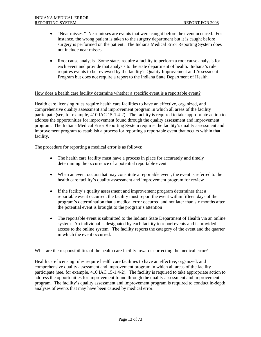- "Near misses." Near misses are events that were caught before the event occurred. For instance, the wrong patient is taken to the surgery department but it is caught before surgery is performed on the patient. The Indiana Medical Error Reporting System does not include near misses.
- Root cause analysis. Some states require a facility to perform a root cause analysis for each event and provide that analysis to the state department of health. Indiana's rule requires events to be reviewed by the facility's Quality Improvement and Assessment Program but does not require a report to the Indiana State Department of Health.

#### How does a health care facility determine whether a specific event is a reportable event?

Health care licensing rules require health care facilities to have an effective, organized, and comprehensive quality assessment and improvement program in which all areas of the facility participate (see, for example, 410 IAC 15-1.4-2). The facility is required to take appropriate action to address the opportunities for improvement found through the quality assessment and improvement program. The Indiana Medical Error Reporting System requires the facility's quality assessment and improvement program to establish a process for reporting a reportable event that occurs within that facility.

The procedure for reporting a medical error is as follows:

- The health care facility must have a process in place for accurately and timely determining the occurrence of a potential reportable event
- When an event occurs that may constitute a reportable event, the event is referred to the health care facility's quality assessment and improvement program for review
- If the facility's quality assessment and improvement program determines that a reportable event occurred, the facility must report the event within fifteen days of the program's determination that a medical error occurred and not later than six months after the potential event is brought to the program's attention
- The reportable event is submitted to the Indiana State Department of Health via an online system. An individual is designated by each facility to report events and is provided access to the online system. The facility reports the category of the event and the quarter in which the event occurred.

#### What are the responsibilities of the health care facility towards correcting the medical error?

Health care licensing rules require health care facilities to have an effective, organized, and comprehensive quality assessment and improvement program in which all areas of the facility participate (see, for example, 410 IAC 15-1.4-2). The facility is required to take appropriate action to address the opportunities for improvement found through the quality assessment and improvement program. The facility's quality assessment and improvement program is required to conduct in-depth analyses of events that may have been caused by medical error.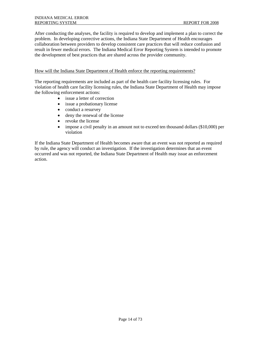After conducting the analyses, the facility is required to develop and implement a plan to correct the problem. In developing corrective actions, the Indiana State Department of Health encourages collaboration between providers to develop consistent care practices that will reduce confusion and result in fewer medical errors. The Indiana Medical Error Reporting System is intended to promote the development of best practices that are shared across the provider community.

#### How will the Indiana State Department of Health enforce the reporting requirements?

The reporting requirements are included as part of the health care facility licensing rules. For violation of health care facility licensing rules, the Indiana State Department of Health may impose the following enforcement actions:

- issue a letter of correction
- issue a probationary license
- conduct a resurvey
- deny the renewal of the license
- revoke the license
- impose a civil penalty in an amount not to exceed ten thousand dollars (\$10,000) per violation

If the Indiana State Department of Health becomes aware that an event was not reported as required by rule, the agency will conduct an investigation. If the investigation determines that an event occurred and was not reported, the Indiana State Department of Health may issue an enforcement action.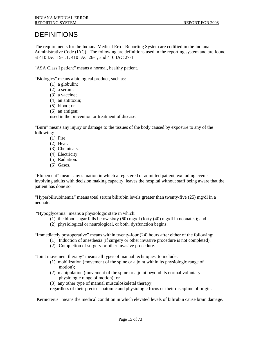## DEFINITIONS

The requirements for the Indiana Medical Error Reporting System are codified in the Indiana Administrative Code (IAC). The following are definitions used in the reporting system and are found at 410 IAC 15-1.1, 410 IAC 26-1, and 410 IAC 27-1.

"ASA Class I patient" means a normal, healthy patient.

"Biologics" means a biological product, such as:

- (1) a globulin;
- (2) a serum;
- (3) a vaccine;
- (4) an antitoxin;
- (5) blood; or
- (6) an antigen;

used in the prevention or treatment of disease.

"Burn" means any injury or damage to the tissues of the body caused by exposure to any of the following:

- (1) Fire.
- (2) Heat.
- (3) Chemicals.
- (4) Electricity.
- (5) Radiation.
- (6) Gases.

"Elopement" means any situation in which a registered or admitted patient, excluding events involving adults with decision making capacity, leaves the hospital without staff being aware that the patient has done so.

"Hyperbilirubinemia" means total serum bilirubin levels greater than twenty-five (25) mg/dl in a neonate.

"Hypoglycemia" means a physiologic state in which:

- (1) the blood sugar falls below sixty (60) mg/dl (forty (40) mg/dl in neonates); and
- (2) physiological or neurological, or both, dysfunction begins.

"Immediately postoperative" means within twenty-four (24) hours after either of the following:

- (1) Induction of anesthesia (if surgery or other invasive procedure is not completed).
- (2) Completion of surgery or other invasive procedure.

"Joint movement therapy" means all types of manual techniques, to include:

- (1) mobilization (movement of the spine or a joint within its physiologic range of motion);
- (2) manipulation (movement of the spine or a joint beyond its normal voluntary physiologic range of motion); or
- (3) any other type of manual musculoskeletal therapy;

regardless of their precise anatomic and physiologic focus or their discipline of origin.

"Kernicterus" means the medical condition in which elevated levels of bilirubin cause brain damage.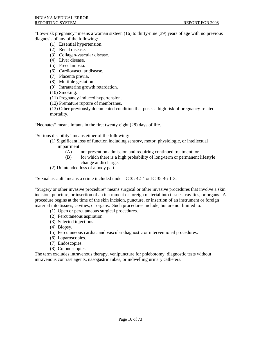"Low-risk pregnancy" means a woman sixteen (16) to thirty-nine (39) years of age with no previous diagnosis of any of the following:

- (1) Essential hypertension.
- (2) Renal disease.
- (3) Collagen-vascular disease.
- (4) Liver disease.
- (5) Preeclampsia.
- (6) Cardiovascular disease.
- (7) Placenta previa.
- (8) Multiple gestation.
- (9) Intrauterine growth retardation.
- (10) Smoking.
- (11) Pregnancy-induced hypertension.
- (12) Premature rupture of membranes.

(13) Other previously documented condition that poses a high risk of pregnancy-related mortality.

"Neonates" means infants in the first twenty-eight (28) days of life.

"Serious disability" means either of the following:

- (1) Significant loss of function including sensory, motor, physiologic, or intellectual impairment:
	- (A) not present on admission and requiring continued treatment; or
	- (B) for which there is a high probability of long-term or permanent lifestyle change at discharge.
- (2) Unintended loss of a body part.

"Sexual assault" means a crime included under IC 35-42-4 or IC 35-46-1-3.

"Surgery or other invasive procedure" means surgical or other invasive procedures that involve a skin incision, puncture, or insertion of an instrument or foreign material into tissues, cavities, or organs. A procedure begins at the time of the skin incision, puncture, or insertion of an instrument or foreign material into tissues, cavities, or organs. Such procedures include, but are not limited to:

- (1) Open or percutaneous surgical procedures.
- (2) Percutaneous aspiration.
- (3) Selected injections.
- (4) Biopsy.
- (5) Percutaneous cardiac and vascular diagnostic or interventional procedures.
- (6) Laparoscopies.
- (7) Endoscopies.
- (8) Colonoscopies.

The term excludes intravenous therapy, venipuncture for phlebotomy, diagnostic tests without intravenous contrast agents, nasogastric tubes, or indwelling urinary catheters.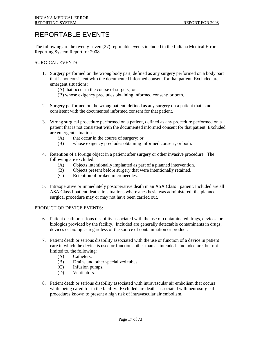# REPORTABLE EVENTS

The following are the twenty-seven (27) reportable events included in the Indiana Medical Error Reporting System Report for 2008.

#### SURGICAL EVENTS:

- 1. Surgery performed on the wrong body part, defined as any surgery performed on a body part that is not consistent with the documented informed consent for that patient. Excluded are emergent situations:
	- (A) that occur in the course of surgery; or
	- (B) whose exigency precludes obtaining informed consent; or both.
- 2. Surgery performed on the wrong patient, defined as any surgery on a patient that is not consistent with the documented informed consent for that patient.
- 3. Wrong surgical procedure performed on a patient, defined as any procedure performed on a patient that is not consistent with the documented informed consent for that patient. Excluded are emergent situations:
	- (A) that occur in the course of surgery; or
	- (B) whose exigency precludes obtaining informed consent; or both.
- 4. Retention of a foreign object in a patient after surgery or other invasive procedure. The following are excluded:
	- (A) Objects intentionally implanted as part of a planned intervention.
	- (B) Objects present before surgery that were intentionally retained.
	- (C) Retention of broken microneedles.
- 5. Intraoperative or immediately postoperative death in an ASA Class I patient. Included are all ASA Class I patient deaths in situations where anesthesia was administered; the planned surgical procedure may or may not have been carried out.

#### PRODUCT OR DEVICE EVENTS:

- 6. Patient death or serious disability associated with the use of contaminated drugs, devices, or biologics provided by the facility. Included are generally detectable contaminants in drugs, devices or biologics regardless of the source of contamination or product.
- 7. Patient death or serious disability associated with the use or function of a device in patient care in which the device is used or functions other than as intended. Included are, but not limited to, the following:
	- (A) Catheters.
	- (B) Drains and other specialized tubes.
	- (C) Infusion pumps.
	- (D) Ventilators.
- 8. Patient death or serious disability associated with intravascular air embolism that occurs while being cared for in the facility. Excluded are deaths associated with neurosurgical procedures known to present a high risk of intravascular air embolism.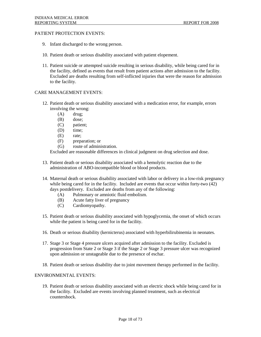#### PATIENT PROTECTION EVENTS:

- 9. Infant discharged to the wrong person.
- 10. Patient death or serious disability associated with patient elopement.
- 11. Patient suicide or attempted suicide resulting in serious disability, while being cared for in the facility, defined as events that result from patient actions after admission to the facility. Excluded are deaths resulting from self-inflicted injuries that were the reason for admission to the facility.

#### CARE MANAGEMENT EVENTS:

- 12. Patient death or serious disability associated with a medication error, for example, errors involving the wrong:
	- (A) drug;
	- (B) dose;
	- (C) patient;
	- (D) time;
	- (E) rate;
	- (F) preparation; or
	- (G) route of administration.

Excluded are reasonable differences in clinical judgment on drug selection and dose.

- 13. Patient death or serious disability associated with a hemolytic reaction due to the administration of ABO-incompatible blood or blood products.
- 14. Maternal death or serious disability associated with labor or delivery in a low-risk pregnancy while being cared for in the facility. Included are events that occur within forty-two (42) days postdelivery. Excluded are deaths from any of the following:
	- (A) Pulmonary or amniotic fluid embolism.
	- (B) Acute fatty liver of pregnancy
	- (C) Cardiomyopathy.
- 15. Patient death or serious disability associated with hypoglycemia, the onset of which occurs while the patient is being cared for in the facility.
- 16. Death or serious disability (kernicterus) associated with hyperbilirubinemia in neonates.
- 17. Stage 3 or Stage 4 pressure ulcers acquired after admission to the facility. Excluded is progression from State 2 or Stage 3 if the Stage 2 or Stage 3 pressure ulcer was recognized upon admission or unstageable due to the presence of eschar.
- 18. Patient death or serious disability due to joint movement therapy performed in the facility.

#### ENVIRONMENTAL EVENTS:

19. Patient death or serious disability associated with an electric shock while being cared for in the facility. Excluded are events involving planned treatment, such as electrical countershock.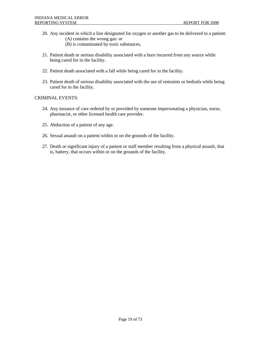- 20. Any incident in which a line designated for oxygen or another gas to be delivered to a patient: (A) contains the wrong gas: or
	- (B) is contaminated by toxic substances.
- 21. Patient death or serious disability associated with a burn incurred from any source while being cared for in the facility.
- 22. Patient death associated with a fall while being cared for in the facility.
- 23. Patient death of serious disability associated with the use of restraints or bedrails while being cared for in the facility.

#### CRIMINAL EVENTS:

- 24. Any instance of care ordered by or provided by someone impersonating a physician, nurse, pharmacist, or other licensed health care provider.
- 25. Abduction of a patient of any age.
- 26. Sexual assault on a patient within or on the grounds of the facility.
- 27. Death or significant injury of a patient or staff member resulting from a physical assault, that is, battery, that occurs within or on the grounds of the facility.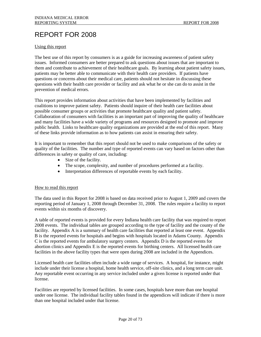# REPORT FOR 2008

#### Using this report

The best use of this report by consumers is as a guide for increasing awareness of patient safety issues. Informed consumers are better prepared to ask questions about issues that are important to them and contribute to achievement of their healthcare goals. By learning about patient safety issues, patients may be better able to communicate with their health care providers. If patients have questions or concerns about their medical care, patients should not hesitate in discussing these questions with their health care provider or facility and ask what he or she can do to assist in the prevention of medical errors.

This report provides information about activities that have been implemented by facilities and coalitions to improve patient safety. Patients should inquire of their health care facilities about possible consumer groups or activities that promote healthcare quality and patient safety. Collaboration of consumers with facilities is an important part of improving the quality of healthcare and many facilities have a wide variety of programs and resources designed to promote and improve public health. Links to healthcare quality organizations are provided at the end of this report. Many of these links provide information as to how patients can assist in ensuring their safety.

It is important to remember that this report should not be used to make comparisons of the safety or quality of the facilities. The number and type of reported events can vary based on factors other than differences in safety or quality of care, including:

- Size of the facility.
- The scope, complexity, and number of procedures performed at a facility.
- Interpretation differences of reportable events by each facility.

#### How to read this report

The data used in this Report for 2008 is based on data received prior to August 1, 2009 and covers the reporting period of January 1, 2008 through December 31, 2008. The rules require a facility to report events within six months of discovery.

A table of reported events is provided for every Indiana health care facility that was required to report 2008 events. The individual tables are grouped according to the type of facility and the county of the facility. Appendix A is a summary of health care facilities that reported at least one event. Appendix B is the reported events for hospitals and begins with hospitals located in Adams County. Appendix C is the reported events for ambulatory surgery centers. Appendix D is the reported events for abortion clinics and Appendix E is the reported events for birthing centers. All licensed health care facilities in the above facility types that were open during 2008 are included in the Appendices.

Licensed health care facilities often include a wide range of services. A hospital, for instance, might include under their license a hospital, home health service, off-site clinics, and a long term care unit. Any reportable event occurring in any service included under a given license is reported under that license.

Facilities are reported by licensed facilities. In some cases, hospitals have more than one hospital under one license. The individual facility tables found in the appendices will indicate if there is more than one hospital included under that license.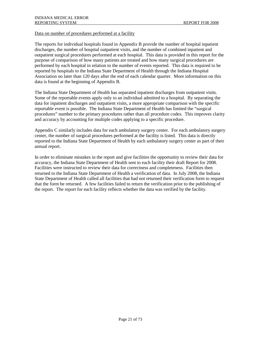#### Data on number of procedures performed at a facility

The reports for individual hospitals found in Appendix B provide the number of hospital inpatient discharges, the number of hospital outpatient visits, and the number of combined inpatient and outpatient surgical procedures performed at each hospital. This data is provided in this report for the purpose of comparison of how many patients are treated and how many surgical procedures are performed by each hospital in relation to the number of events reported. This data is required to be reported by hospitals to the Indiana State Department of Health through the Indiana Hospital Association no later than 120 days after the end of each calendar quarter. More information on this data is found at the beginning of Appendix B.

The Indiana State Department of Health has separated inpatient discharges from outpatient visits. Some of the reportable events apply only to an individual admitted to a hospital. By separating the data for inpatient discharges and outpatient visits, a more appropriate comparison with the specific reportable event is possible. The Indiana State Department of Health has limited the "surgical procedures" number to the primary procedures rather than all procedure codes. This improves clarity and accuracy by accounting for multiple codes applying to a specific procedure.

Appendix C similarly includes data for each ambulatory surgery center. For each ambulatory surgery center, the number of surgical procedures performed at the facility is listed. This data is directly reported to the Indiana State Department of Health by each ambulatory surgery center as part of their annual report.

In order to eliminate mistakes in the report and give facilities the opportunity to review their data for accuracy, the Indiana State Department of Health sent to each facility their draft Report for 2008. Facilities were instructed to review their data for correctness and completeness. Facilities then returned to the Indiana State Department of Health a verification of data. In July 2008, the Indiana State Department of Health called all facilities that had not returned their verification form to request that the form be returned. A few facilities failed to return the verification prior to the publishing of the report. The report for each facility reflects whether the data was verified by the facility.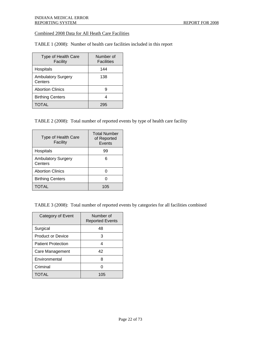## Combined 2008 Data for All Heath Care Facilities

TABLE 1 (2008): Number of health care facilities included in this report

| Type of Health Care<br>Facility      | Number of<br><b>Facilities</b> |
|--------------------------------------|--------------------------------|
| Hospitals                            | 144                            |
| <b>Ambulatory Surgery</b><br>Centers | 138                            |
| <b>Abortion Clinics</b>              | 9                              |
| <b>Birthing Centers</b>              |                                |
| <b>TOTAL</b>                         | 295                            |

TABLE 2 (2008): Total number of reported events by type of health care facility

| Type of Health Care<br>Facility      | <b>Total Number</b><br>of Reported<br>Events |
|--------------------------------------|----------------------------------------------|
| Hospitals                            | 99                                           |
| <b>Ambulatory Surgery</b><br>Centers | 6                                            |
| <b>Abortion Clinics</b>              |                                              |
| <b>Birthing Centers</b>              |                                              |
| TOTAL                                | 105                                          |

TABLE 3 (2008): Total number of reported events by categories for all facilities combined

| Category of Event         | Number of<br><b>Reported Events</b> |
|---------------------------|-------------------------------------|
| Surgical                  | 48                                  |
| <b>Product or Device</b>  | З                                   |
| <b>Patient Protection</b> |                                     |
| Care Management           | 42                                  |
| Environmental             | 8                                   |
| Criminal                  |                                     |
| TOTAL                     | 105                                 |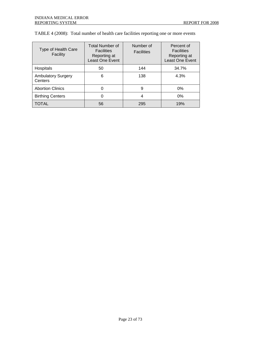|  |  | TABLE 4 (2008): Total number of health care facilities reporting one or more events |
|--|--|-------------------------------------------------------------------------------------|
|--|--|-------------------------------------------------------------------------------------|

| Type of Health Care<br>Facility      | <b>Total Number of</b><br><b>Facilities</b><br>Reporting at<br><b>Least One Event</b> | Number of<br><b>Facilities</b> | Percent of<br><b>Facilities</b><br>Reporting at<br><b>Least One Event</b> |
|--------------------------------------|---------------------------------------------------------------------------------------|--------------------------------|---------------------------------------------------------------------------|
| Hospitals                            | 50                                                                                    | 144                            | 34.7%                                                                     |
| <b>Ambulatory Surgery</b><br>Centers | 6                                                                                     | 138                            | 4.3%                                                                      |
| <b>Abortion Clinics</b>              | 0                                                                                     | 9                              | $0\%$                                                                     |
| <b>Birthing Centers</b>              | 0                                                                                     | 4                              | 0%                                                                        |
| <b>TOTAL</b>                         | 56                                                                                    | 295                            | 19%                                                                       |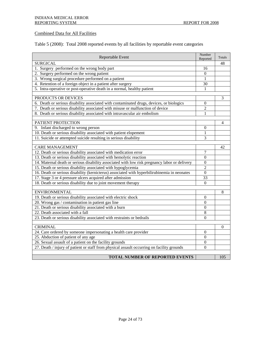## Combined Data for All Facilities

Table 5 (2008): Total 2008 reported events by all facilities by reportable event categories

| Reportable Event                                                                              | Number<br>Reported              | Totals   |
|-----------------------------------------------------------------------------------------------|---------------------------------|----------|
| <b>SURGICAL</b>                                                                               |                                 | 48       |
| 1. Surgery performed on the wrong body part                                                   | 16                              |          |
| 2. Surgery performed on the wrong patient                                                     | $\boldsymbol{0}$                |          |
| 3. Wrong surgical procedure performed on a patient                                            | 1                               |          |
| 4. Retention of a foreign object in a patient after surgery                                   | 30                              |          |
| 5. Intra-operative or post-operative death in a normal, healthy patient                       | 1                               |          |
| PRODUCTS OR DEVICES                                                                           |                                 | 3        |
| 6. Death or serious disability associated with contaminated drugs, devices, or biologics      | 0                               |          |
| 7. Death or serious disability associated with misuse or malfunction of device                | $\overline{c}$                  |          |
| 8. Death or serious disability associated with intravascular air embolism                     | 1                               |          |
|                                                                                               |                                 |          |
| PATIENT PROTECTION                                                                            |                                 | 4        |
| 9. Infant discharged to wrong person                                                          | $\theta$                        |          |
| 10. Death or serious disability associated with patient elopement                             | 1                               |          |
| 11. Suicide or attempted suicide resulting in serious disability                              | 3                               |          |
|                                                                                               |                                 |          |
| <b>CARE MANAGEMENT</b>                                                                        |                                 | 42       |
| 12. Death or serious disability associated with medication error                              | 7                               |          |
| 13. Death or serious disability associated with hemolytic reaction                            | $\theta$                        |          |
| 14. Maternal death or serious disability associated with low risk pregnancy labor or delivery | $\overline{0}$                  |          |
| 15. Death or serious disability associated with hypoglycemia                                  | $\overline{2}$                  |          |
| 16. Death or serious disability (kernicterus) associated with hyperbilirubinemia in neonates  | $\mathbf{0}$<br>$\overline{33}$ |          |
| 17. Stage 3 or 4 pressure ulcers acquired after admission                                     |                                 |          |
| 18. Death or serious disability due to joint movement therapy                                 | $\Omega$                        |          |
| ENVIRONMENTAL                                                                                 |                                 | 8        |
| 19. Death or serious disability associated with electric shock                                | $\mathbf{0}$                    |          |
| 20. Wrong gas / contamination in patient gas line                                             | $\theta$                        |          |
| 21. Death or serious disability associated with a burn                                        | $\overline{0}$                  |          |
| 22. Death associated with a fall                                                              | 8                               |          |
| 23. Death or serious disability associated with restraints or bedrails                        | $\theta$                        |          |
|                                                                                               |                                 |          |
| <b>CRIMINAL</b>                                                                               |                                 | $\Omega$ |
| 24. Care ordered by someone impersonating a health care provider                              | $\Omega$                        |          |
| 25. Abduction of patient of any age                                                           | $\theta$                        |          |
| 26. Sexual assault of a patient on the facility grounds                                       | $\theta$                        |          |
| 27. Death / injury of patient or staff from physical assault occurring on facility grounds    | $\theta$                        |          |
|                                                                                               |                                 |          |
| <b>TOTAL NUMBER OF REPORTED EVENTS</b>                                                        |                                 | 105      |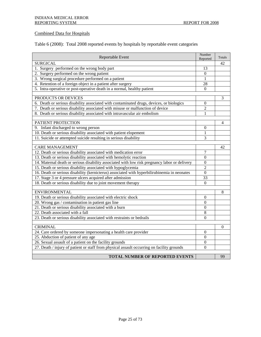## Combined Data for Hospitals

Table 6 (2008): Total 2008 reported events by hospitals by reportable event categories

| Reportable Event                                                                                       | Number<br>Reported | Totals         |
|--------------------------------------------------------------------------------------------------------|--------------------|----------------|
| <b>SURGICAL</b>                                                                                        |                    | 42             |
| 1. Surgery performed on the wrong body part                                                            | 13                 |                |
| 2. Surgery performed on the wrong patient                                                              | $\mathbf{0}$       |                |
| 3. Wrong surgical procedure performed on a patient                                                     | 1                  |                |
| 4. Retention of a foreign object in a patient after surgery                                            | 28                 |                |
| 5. Intra-operative or post-operative death in a normal, healthy patient                                | $\Omega$           |                |
|                                                                                                        |                    |                |
| PRODUCTS OR DEVICES                                                                                    |                    | 3              |
| 6. Death or serious disability associated with contaminated drugs, devices, or biologics               | $\Omega$           |                |
| 7. Death or serious disability associated with misuse or malfunction of device                         | $\overline{2}$     |                |
| 8. Death or serious disability associated with intravascular air embolism                              | 1                  |                |
| PATIENT PROTECTION                                                                                     |                    | $\overline{4}$ |
| 9. Infant discharged to wrong person                                                                   | $\overline{0}$     |                |
| 10. Death or serious disability associated with patient elopement                                      | 1                  |                |
| 11. Suicide or attempted suicide resulting in serious disability                                       | 3                  |                |
|                                                                                                        |                    |                |
| <b>CARE MANAGEMENT</b>                                                                                 |                    | 42             |
| 12. Death or serious disability associated with medication error                                       | $\overline{7}$     |                |
| 13. Death or serious disability associated with hemolytic reaction                                     | $\Omega$           |                |
| 14. Maternal death or serious disability associated with low risk pregnancy labor or delivery          | $\mathbf{0}$       |                |
| 15. Death or serious disability associated with hypoglycemia                                           | $\overline{2}$     |                |
| 16. Death or serious disability (kernicterus) associated with hyperbilirubinemia in neonates           | $\overline{0}$     |                |
| 17. Stage 3 or 4 pressure ulcers acquired after admission                                              |                    |                |
| 18. Death or serious disability due to joint movement therapy                                          | $\Omega$           |                |
|                                                                                                        |                    |                |
| <b>ENVIRONMENTAL</b>                                                                                   |                    | 8              |
| 19. Death or serious disability associated with electric shock                                         | $\mathbf{0}$       |                |
| 20. Wrong gas / contamination in patient gas line                                                      | $\mathbf{0}$       |                |
| 21. Death or serious disability associated with a burn                                                 | $\Omega$           |                |
| 22. Death associated with a fall                                                                       | 8                  |                |
| 23. Death or serious disability associated with restraints or bedrails                                 | $\Omega$           |                |
| <b>CRIMINAL</b>                                                                                        |                    | $\theta$       |
| 24. Care ordered by someone impersonating a health care provider                                       | $\Omega$           |                |
| 25. Abduction of patient of any age                                                                    | $\overline{0}$     |                |
| 26. Sexual assault of a patient on the facility grounds                                                | $\mathbf{0}$       |                |
| 27. Death / injury of patient or staff from physical assault occurring on facility grounds<br>$\Omega$ |                    |                |
|                                                                                                        |                    |                |
| TOTAL NUMBER OF REPORTED EVENTS                                                                        |                    | 99             |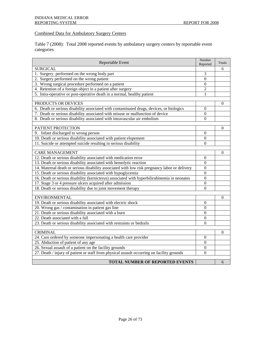## Combined Data for Ambulatory Surgery Centers

Table 7 (2008): Total 2008 reported events by ambulatory surgery centers by reportable event categories

| Reportable Event                                                                              | Number<br>Reported         | Totals           |
|-----------------------------------------------------------------------------------------------|----------------------------|------------------|
| <b>SURGICAL</b>                                                                               |                            | 6                |
| 1. Surgery performed on the wrong body part                                                   | 3                          |                  |
| 2. Surgery performed on the wrong patient                                                     | $\theta$                   |                  |
| 3. Wrong surgical procedure performed on a patient                                            | $\overline{0}$             |                  |
| 4. Retention of a foreign object in a patient after surgery                                   | 2                          |                  |
| 5. Intra-operative or post-operative death in a normal, healthy patient                       | 1                          |                  |
| PRODUCTS OR DEVICES                                                                           |                            | $\Omega$         |
| 6. Death or serious disability associated with contaminated drugs, devices, or biologics      | $\Omega$                   |                  |
| 7. Death or serious disability associated with misuse or malfunction of device                | $\theta$                   |                  |
| 8. Death or serious disability associated with intravascular air embolism                     | $\theta$                   |                  |
|                                                                                               |                            |                  |
| PATIENT PROTECTION                                                                            |                            | 0                |
| 9. Infant discharged to wrong person                                                          | $\Omega$                   |                  |
| 10. Death or serious disability associated with patient elopement                             | $\overline{0}$             |                  |
| 11. Suicide or attempted suicide resulting in serious disability                              | $\Omega$                   |                  |
|                                                                                               |                            |                  |
| <b>CARE MANAGEMENT</b>                                                                        |                            | $\theta$         |
| 12. Death or serious disability associated with medication error                              | $\boldsymbol{0}$           |                  |
| 13. Death or serious disability associated with hemolytic reaction                            | $\overline{0}$             |                  |
| 14. Maternal death or serious disability associated with low risk pregnancy labor or delivery | $\theta$                   |                  |
| 15. Death or serious disability associated with hypoglycemia                                  | $\theta$                   |                  |
| 16. Death or serious disability (kernicterus) associated with hyperbilirubinemia in neonates  | $\overline{0}$<br>$\theta$ |                  |
| 17. Stage 3 or 4 pressure ulcers acquired after admission                                     |                            |                  |
| 18. Death or serious disability due to joint movement therapy                                 | $\overline{0}$             |                  |
| <b>ENVIRONMENTAL</b>                                                                          |                            | $\Omega$         |
| 19. Death or serious disability associated with electric shock                                | 0                          |                  |
| 20. Wrong gas / contamination in patient gas line                                             | $\theta$                   |                  |
| 21. Death or serious disability associated with a burn                                        | $\theta$                   |                  |
| 22. Death associated with a fall                                                              | $\overline{0}$             |                  |
| 23. Death or serious disability associated with restraints or bedrails                        | $\theta$                   |                  |
|                                                                                               |                            |                  |
| <b>CRIMINAL</b>                                                                               |                            | $\boldsymbol{0}$ |
| 24. Care ordered by someone impersonating a health care provider                              | $\theta$                   |                  |
| 25. Abduction of patient of any age                                                           | $\Omega$                   |                  |
| 26. Sexual assault of a patient on the facility grounds                                       | $\theta$                   |                  |
| 27. Death / injury of patient or staff from physical assault occurring on facility grounds    | $\Omega$                   |                  |
| TOTAL NUMBER OF REPORTED EVENTS                                                               |                            | 6                |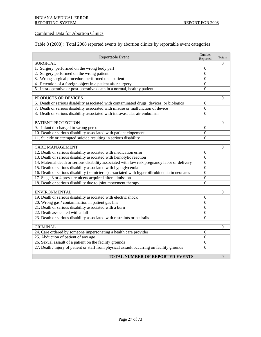## Combined Data for Abortion Clinics

Table 8 (2008): Total 2008 reported events by abortion clinics by reportable event categories

| Reportable Event                                                                              | Number<br>Reported | Totals       |
|-----------------------------------------------------------------------------------------------|--------------------|--------------|
| <b>SURGICAL</b>                                                                               |                    | $\Omega$     |
| 1. Surgery performed on the wrong body part                                                   | $\Omega$           |              |
| 2. Surgery performed on the wrong patient                                                     | $\mathbf{0}$       |              |
| 3. Wrong surgical procedure performed on a patient                                            | $\mathbf{0}$       |              |
| 4. Retention of a foreign object in a patient after surgery                                   | $\Omega$           |              |
| 5. Intra-operative or post-operative death in a normal, healthy patient                       | $\theta$           |              |
| PRODUCTS OR DEVICES                                                                           |                    | $\Omega$     |
| 6. Death or serious disability associated with contaminated drugs, devices, or biologics      | $\boldsymbol{0}$   |              |
| 7. Death or serious disability associated with misuse or malfunction of device                | $\boldsymbol{0}$   |              |
| 8. Death or serious disability associated with intravascular air embolism                     | $\Omega$           |              |
|                                                                                               |                    |              |
| PATIENT PROTECTION                                                                            |                    | $\mathbf{0}$ |
| 9. Infant discharged to wrong person                                                          | $\overline{0}$     |              |
| 10. Death or serious disability associated with patient elopement                             | $\mathbf{0}$       |              |
| 11. Suicide or attempted suicide resulting in serious disability                              | $\Omega$           |              |
|                                                                                               |                    |              |
| <b>CARE MANAGEMENT</b>                                                                        |                    | $\theta$     |
| 12. Death or serious disability associated with medication error                              | $\Omega$           |              |
| 13. Death or serious disability associated with hemolytic reaction                            | $\Omega$           |              |
| 14. Maternal death or serious disability associated with low risk pregnancy labor or delivery | $\theta$           |              |
| 15. Death or serious disability associated with hypoglycemia                                  | $\Omega$           |              |
| 16. Death or serious disability (kernicterus) associated with hyperbilirubinemia in neonates  | $\Omega$           |              |
| 17. Stage 3 or 4 pressure ulcers acquired after admission                                     | $\overline{0}$     |              |
| 18. Death or serious disability due to joint movement therapy                                 | $\theta$           |              |
| <b>ENVIRONMENTAL</b>                                                                          |                    | $\mathbf{0}$ |
| 19. Death or serious disability associated with electric shock                                | $\theta$           |              |
| 20. Wrong gas / contamination in patient gas line                                             | $\theta$           |              |
| 21. Death or serious disability associated with a burn                                        | $\overline{0}$     |              |
| 22. Death associated with a fall                                                              | $\overline{0}$     |              |
| 23. Death or serious disability associated with restraints or bedrails                        | $\overline{0}$     |              |
|                                                                                               |                    |              |
| <b>CRIMINAL</b>                                                                               |                    | $\Omega$     |
| 24. Care ordered by someone impersonating a health care provider                              | $\mathbf{0}$       |              |
| 25. Abduction of patient of any age                                                           | $\Omega$           |              |
| 26. Sexual assault of a patient on the facility grounds                                       | $\overline{0}$     |              |
| 27. Death / injury of patient or staff from physical assault occurring on facility grounds    | $\theta$           |              |
|                                                                                               |                    |              |
| TOTAL NUMBER OF REPORTED EVENTS                                                               |                    | $\theta$     |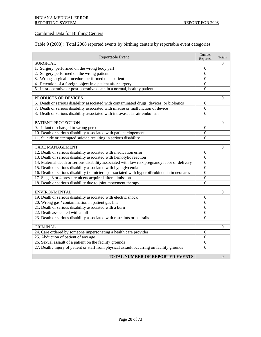## Combined Data for Birthing Centers

Table 9 (2008): Total 2008 reported events by birthing centers by reportable event categories

| Reportable Event                                                                              | Number<br>Reported | Totals           |
|-----------------------------------------------------------------------------------------------|--------------------|------------------|
| <b>SURGICAL</b>                                                                               |                    | $\Omega$         |
| 1. Surgery performed on the wrong body part                                                   | $\Omega$           |                  |
| 2. Surgery performed on the wrong patient                                                     | $\theta$           |                  |
| 3. Wrong surgical procedure performed on a patient                                            | $\Omega$           |                  |
| 4. Retention of a foreign object in a patient after surgery                                   | 0                  |                  |
| 5. Intra-operative or post-operative death in a normal, healthy patient                       | $\theta$           |                  |
| PRODUCTS OR DEVICES                                                                           |                    | $\Omega$         |
| 6. Death or serious disability associated with contaminated drugs, devices, or biologics      | 0                  |                  |
| 7. Death or serious disability associated with misuse or malfunction of device                | $\overline{0}$     |                  |
| 8. Death or serious disability associated with intravascular air embolism                     | $\overline{0}$     |                  |
|                                                                                               |                    |                  |
| PATIENT PROTECTION                                                                            |                    | $\theta$         |
| 9. Infant discharged to wrong person                                                          | $\overline{0}$     |                  |
| 10. Death or serious disability associated with patient elopement                             | $\Omega$           |                  |
| 11. Suicide or attempted suicide resulting in serious disability                              | $\theta$           |                  |
|                                                                                               |                    |                  |
| <b>CARE MANAGEMENT</b>                                                                        |                    | $\Omega$         |
| 12. Death or serious disability associated with medication error                              | $\overline{0}$     |                  |
| 13. Death or serious disability associated with hemolytic reaction                            | $\overline{0}$     |                  |
| 14. Maternal death or serious disability associated with low risk pregnancy labor or delivery | $\theta$           |                  |
| 15. Death or serious disability associated with hypoglycemia                                  | $\overline{0}$     |                  |
| 16. Death or serious disability (kernicterus) associated with hyperbilirubinemia in neonates  | $\mathbf{0}$       |                  |
| 17. Stage 3 or 4 pressure ulcers acquired after admission                                     | $\theta$           |                  |
| 18. Death or serious disability due to joint movement therapy                                 | $\theta$           |                  |
| <b>ENVIRONMENTAL</b>                                                                          |                    | $\theta$         |
| 19. Death or serious disability associated with electric shock                                | $\mathbf{0}$       |                  |
| 20. Wrong gas / contamination in patient gas line                                             | $\mathbf{0}$       |                  |
| 21. Death or serious disability associated with a burn                                        | $\overline{0}$     |                  |
| 22. Death associated with a fall                                                              | $\theta$           |                  |
| 23. Death or serious disability associated with restraints or bedrails                        | $\theta$           |                  |
|                                                                                               |                    |                  |
| <b>CRIMINAL</b>                                                                               |                    | $\Omega$         |
| 24. Care ordered by someone impersonating a health care provider                              | $\Omega$           |                  |
| 25. Abduction of patient of any age                                                           | $\overline{0}$     |                  |
| 26. Sexual assault of a patient on the facility grounds                                       | $\theta$           |                  |
| 27. Death / injury of patient or staff from physical assault occurring on facility grounds    | $\theta$           |                  |
| TOTAL NUMBER OF REPORTED EVENTS                                                               |                    | $\boldsymbol{0}$ |
|                                                                                               |                    |                  |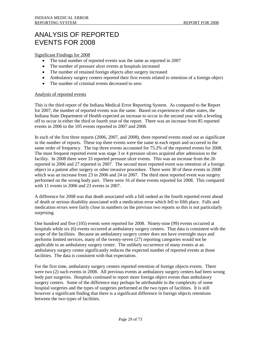# ANALYSIS OF REPORTED EVENTS FOR 2008

Significant Findings for 2008

- The total number of reported events was the same as reported in 2007
- The number of pressure ulcer events at hospitals increased
- The number of retained foreign objects after surgery increased
- Ambulatory surgery centers reported their first events related to retention of a foreign object
- The number of criminal events decreased to zero

#### Analysis of reported events

This is the third report of the Indiana Medical Error Reporting System. As compared to the Report for 2007, the number of reported events was the same. Based on experiences of other states, the Indiana State Department of Health expected an increase to occur in the second year with a leveling off to occur in either the third or fourth year of the report. There was an increase from 85 reported events in 2006 to the 105 events reported in 2007 and 2008.

In each of the first three reports (2006, 2007, and 2008), three reported events stood out as significant in the number of reports. These top three events were the same in each report and occurred in the same order of frequency. The top three events accounted for 75.2% of the reported events for 2008. The most frequent reported event was stage 3 or 4 pressure ulcers acquired after admission to the facility. In 2008 there were 33 reported pressure ulcer events. This was an increase from the 26 reported in 2006 and 27 reported in 2007. The second most reported event was retention of a foreign object in a patient after surgery or other invasive procedure. There were 30 of these events in 2008 which was an increase from 23 in 2006 and 24 in 2007. The third most reported event was surgery performed on the wrong body part. There were 16 of these events reported for 2008. This compared with 11 events in 2006 and 23 events in 2007.

A difference for 2008 was that death associated with a fall ranked as the fourth reported event ahead of death or serious disability associated with a medication error which fell to fifth place. Falls and medication errors were fairly close in numbers on the previous two reports so this is not particularly surprising.

One hundred and five (105) events were reported for 2008. Ninety-nine (99) events occurred at hospitals while six (6) events occurred at ambulatory surgery centers. That data is consistent with the scope of the facilities. Because an ambulatory surgery center does not have overnight stays and performs limited services, many of the twenty-seven (27) reporting categories would not be applicable to an ambulatory surgery center. The unlikely occurrence of many events at an ambulatory surgery center significantly reduces the expected number of reported events at those facilities. The data is consistent with that expectation.

For the first time, ambulatory surgery centers reported retention of foreign objects events. There were two (2) such events in 2008. All previous events at ambulatory surgery centers had been wrong body part surgeries. Hospitals continued to report more foreign object events than ambulatory surgery centers. Some of the difference may perhaps be attributable to the complexity of some hospital surgeries and the types of surgeries performed at the two types of facilities. It is still however a significant finding that there is a significant difference in foreign objects retentions between the two types of facilities.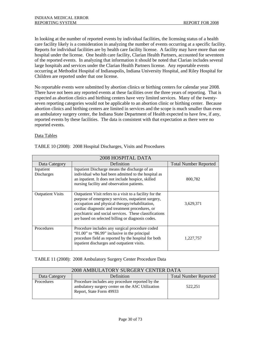In looking at the number of reported events by individual facilities, the licensing status of a health care facility likely is a consideration in analyzing the number of events occurring at a specific facility. Reports for individual facilities are by health care facility license. A facility may have more than one hospital under the license. One health care facility, Clarian Health Partners, accounted for seventeen of the reported events. In analyzing that information it should be noted that Clarian includes several large hospitals and services under the Clarian Health Partners license. Any reportable events occurring at Methodist Hospital of Indianapolis, Indiana University Hospital, and Riley Hospital for Children are reported under that one license.

No reportable events were submitted by abortion clinics or birthing centers for calendar year 2008. There have not been any reported events at these facilities over the three years of reporting. That is expected as abortion clinics and birthing centers have very limited services. Many of the twentyseven reporting categories would not be applicable to an abortion clinic or birthing center. Because abortion clinics and birthing centers are limited in services and the scope is much smaller than even an ambulatory surgery center, the Indiana State Department of Health expected to have few, if any, reported events by these facilities. The data is consistent with that expectation as there were no reported events.

#### Data Tables

| 2008 HOSPITAL DATA       |                                                                                                                                                                                                                                                                                                                                     |                              |
|--------------------------|-------------------------------------------------------------------------------------------------------------------------------------------------------------------------------------------------------------------------------------------------------------------------------------------------------------------------------------|------------------------------|
| Data Category            | Definition                                                                                                                                                                                                                                                                                                                          | <b>Total Number Reported</b> |
| Inpatient<br>Discharges  | Inpatient Discharge means the discharge of an<br>individual who had been admitted to the hospital as<br>an inpatient. It does not include hospice, skilled<br>nursing facility and observation patients.                                                                                                                            | 800,782                      |
| <b>Outpatient Visits</b> | Outpatient Visit refers to a visit to a facility for the<br>purpose of emergency services, outpatient surgery,<br>occupation and physical therapy/rehabilitation,<br>cardiac diagnostic and treatment procedures, or<br>psychiatric and social services. These classifications<br>are based on selected billing or diagnosis codes. | 3,629,371                    |
| Procedures               | Procedure includes any surgical procedure coded<br>"01.00" to "86.99" inclusive in the principal<br>procedure field as reported by the hospital for both<br>inpatient discharges and outpatient visits.                                                                                                                             | 1,227,757                    |

TABLE 10 (2008): 2008 Hospital Discharges, Visits and Procedures

#### TABLE 11 (2008): 2008 Ambulatory Surgery Center Procedure Data

| 2008 AMBULATORY SURGERY CENTER DATA |                                                                                                                                  |         |  |  |  |  |
|-------------------------------------|----------------------------------------------------------------------------------------------------------------------------------|---------|--|--|--|--|
| Data Category                       | <b>Total Number Reported</b><br>Definition                                                                                       |         |  |  |  |  |
| Procedures                          | Procedure includes any procedure reported by the<br>ambulatory surgery center on the ASC Utilization<br>Report, State Form 49933 | 522,251 |  |  |  |  |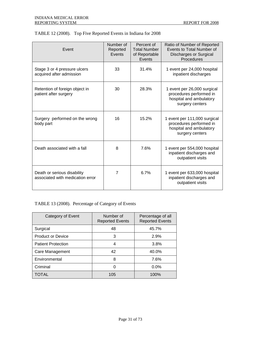## TABLE 12 (2008). Top Five Reported Events in Indiana for 2008

| Event                                                           | Number of<br>Reported<br>Events | Percent of<br><b>Total Number</b><br>of Reportable<br>Events | Ratio of Number of Reported<br>Events to Total Number of<br><b>Discharges or Surgical</b><br>Procedures |
|-----------------------------------------------------------------|---------------------------------|--------------------------------------------------------------|---------------------------------------------------------------------------------------------------------|
| Stage 3 or 4 pressure ulcers<br>acquired after admission        | 33                              | 31.4%                                                        | 1 event per 24,000 hospital<br>inpatient discharges                                                     |
| Retention of foreign object in<br>patient after surgery         | 30                              | 28.3%                                                        | 1 event per 26,000 surgical<br>procedures performed in<br>hospital and ambulatory<br>surgery centers    |
| Surgery performed on the wrong<br>body part                     | 16                              | 15.2%                                                        | 1 event per 111,000 surgical<br>procedures performed in<br>hospital and ambulatory<br>surgery centers   |
| Death associated with a fall                                    | 8                               | 7.6%                                                         | 1 event per 554,000 hospital<br>inpatient discharges and<br>outpatient visits                           |
| Death or serious disability<br>associated with medication error | $\overline{7}$                  | 6.7%                                                         | 1 event per 633,000 hospital<br>inpatient discharges and<br>outpatient visits                           |

### TABLE 13 (2008). Percentage of Category of Events

| Category of Event         | Number of<br><b>Reported Events</b> | Percentage of all<br><b>Reported Events</b> |
|---------------------------|-------------------------------------|---------------------------------------------|
| Surgical                  | 48                                  | 45.7%                                       |
| <b>Product or Device</b>  | 3                                   | 2.9%                                        |
| <b>Patient Protection</b> | 4                                   | 3.8%                                        |
| Care Management           | 42                                  | 40.0%                                       |
| Environmental             | 8                                   | 7.6%                                        |
| Criminal                  | Ω                                   | 0.0%                                        |
| <b>TOTAL</b>              | 105                                 | 100%                                        |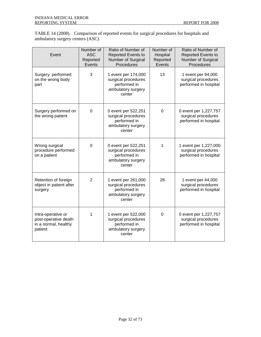TABLE 14 (2008). Comparison of reported events for surgical procedures for hospitals and ambulatory surgery centers (ASC)

| Event                                                                         | Number of<br><b>ASC</b><br>Reported<br>Events | Ratio of Number of<br><b>Reported Events to</b><br>Number of Surgical<br>Procedures        | Number of<br>Hospital<br>Reported<br>Events | Ratio of Number of<br><b>Reported Events to</b><br>Number of Surgical<br>Procedures |
|-------------------------------------------------------------------------------|-----------------------------------------------|--------------------------------------------------------------------------------------------|---------------------------------------------|-------------------------------------------------------------------------------------|
| Surgery performed<br>on the wrong body<br>part                                | 3                                             | 1 event per 174,000<br>surgical procedures<br>performed in<br>ambulatory surgery<br>center | 13                                          | 1 event per 94,000<br>surgical procedures<br>performed in hospital                  |
| Surgery performed on<br>the wrong patient                                     | $\mathbf 0$                                   | 0 event per 522,251<br>surgical procedures<br>performed in<br>ambulatory surgery<br>center | $\mathbf 0$                                 | 0 event per 1,227,757<br>surgical procedures<br>performed in hospital               |
| Wrong surgical<br>procedure performed<br>on a patient                         | $\mathbf 0$                                   | 0 event per 522,251<br>surgical procedures<br>performed in<br>ambulatory surgery<br>center | 1                                           | 1 event per 1,227,000<br>surgical procedures<br>performed in hospital               |
| Retention of foreign<br>object in patient after<br>surgery                    | 2                                             | 1 event per 261,000<br>surgical procedures<br>performed in<br>ambulatory surgery<br>center | 28                                          | 1 event per 44,000<br>surgical procedures<br>performed in hospital                  |
| Intra-operative or<br>post-operative death<br>in a normal, healthy<br>patient | 1                                             | 1 event per 522,000<br>surgical procedures<br>performed in<br>ambulatory surgery<br>center | $\mathbf 0$                                 | 0 event per 1,227,757<br>surgical procedures<br>performed in hospital               |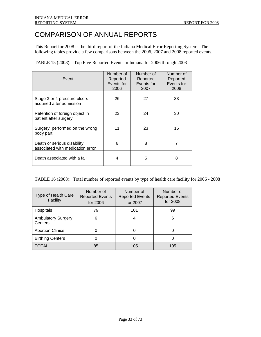# COMPARISON OF ANNUAL REPORTS

This Report for 2008 is the third report of the Indiana Medical Error Reporting System. The following tables provide a few comparisons between the 2006, 2007 and 2008 reported events.

TABLE 15 (2008). Top Five Reported Events in Indiana for 2006 through 2008

| Event                                                           | Number of<br>Reported<br>Events for<br>2006 | Number of<br>Reported<br>Events for<br>2007 | Number of<br>Reported<br>Events for<br>2008 |
|-----------------------------------------------------------------|---------------------------------------------|---------------------------------------------|---------------------------------------------|
| Stage 3 or 4 pressure ulcers<br>acquired after admission        | 26                                          | 27                                          | 33                                          |
| Retention of foreign object in<br>patient after surgery         | 23                                          | 24                                          | 30                                          |
| Surgery performed on the wrong<br>body part                     | 11                                          | 23                                          | 16                                          |
| Death or serious disability<br>associated with medication error | 6                                           | 8                                           |                                             |
| Death associated with a fall                                    | 4                                           | 5                                           | 8                                           |

TABLE 16 (2008): Total number of reported events by type of health care facility for 2006 - 2008

| Type of Health Care<br>Facility      | Number of<br><b>Reported Events</b><br>for 2006 | Number of<br><b>Reported Events</b><br>for 2007 | Number of<br><b>Reported Events</b><br>for 2008 |
|--------------------------------------|-------------------------------------------------|-------------------------------------------------|-------------------------------------------------|
| Hospitals                            | 79                                              | 101                                             | 99                                              |
| <b>Ambulatory Surgery</b><br>Centers | 6                                               | 4                                               | 6                                               |
| <b>Abortion Clinics</b>              | ი                                               | ი                                               | O                                               |
| <b>Birthing Centers</b>              |                                                 |                                                 |                                                 |
| TOTAL                                | 85                                              | 105                                             | 105                                             |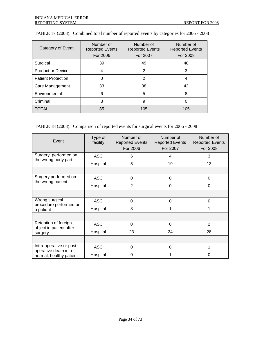| Category of Event         | Number of<br>Number of<br><b>Reported Events</b><br><b>Reported Events</b><br>For 2007<br>For 2006 |     | Number of<br><b>Reported Events</b><br>For 2008 |
|---------------------------|----------------------------------------------------------------------------------------------------|-----|-------------------------------------------------|
| Surgical                  | 39                                                                                                 | 49  | 48                                              |
| <b>Product or Device</b>  | 4                                                                                                  | 2   | 3                                               |
| <b>Patient Protection</b> |                                                                                                    | 2   |                                                 |
| Care Management           | 33                                                                                                 | 38  | 42                                              |
| Environmental             | 6                                                                                                  | 5   | 8                                               |
| Criminal                  | 3                                                                                                  | 9   |                                                 |
| <b>TOTAL</b>              | 85                                                                                                 | 105 | 105                                             |

TABLE 17 (2008): Combined total number of reported events by categories for 2006 - 2008

TABLE 18 (2008): Comparison of reported events for surgical events for 2006 - 2008

| Event                                            | Type of<br>facility | Number of<br><b>Reported Events</b> | Number of<br><b>Reported Events</b> | Number of<br><b>Reported Events</b> |
|--------------------------------------------------|---------------------|-------------------------------------|-------------------------------------|-------------------------------------|
|                                                  |                     | For 2006                            | For 2007                            | For 2008                            |
| Surgery performed on<br>the wrong body part      | <b>ASC</b>          | 6                                   | 4                                   | 3                                   |
|                                                  | Hospital            | 5                                   | 19                                  | 13                                  |
|                                                  |                     |                                     |                                     |                                     |
| Surgery performed on<br>the wrong patient        | <b>ASC</b>          | 0                                   | $\Omega$                            | 0                                   |
|                                                  | Hospital            | $\overline{2}$                      | 0                                   | $\Omega$                            |
|                                                  |                     |                                     |                                     |                                     |
| Wrong surgical<br>procedure performed on         | <b>ASC</b>          | 0                                   | $\Omega$                            | 0                                   |
| a patient                                        | Hospital            | 3                                   | 1                                   |                                     |
|                                                  |                     |                                     |                                     |                                     |
| Retention of foreign<br>object in patient after  | <b>ASC</b>          | $\Omega$                            | $\Omega$                            | $\overline{2}$                      |
| surgery                                          | Hospital            | 23                                  | 24                                  | 28                                  |
|                                                  |                     |                                     |                                     |                                     |
| Intra-operative or post-<br>operative death in a | <b>ASC</b>          | $\Omega$                            | $\Omega$                            |                                     |
| normal, healthy patient                          | Hospital            | 0                                   | 1                                   | $\Omega$                            |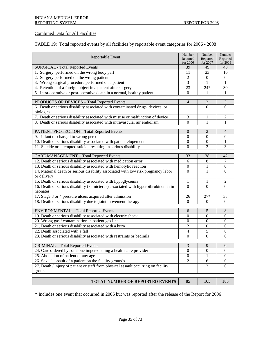# Combined Data for All Facilities

# TABLE 19: Total reported events by all facilities by reportable event categories for 2006 - 2008

| Reportable Event                                                                                               | Number<br>Reported<br>for $2006$ | Number<br>Reported<br>for 2007 | Number<br>Reported<br>for $2008\,$ |  |
|----------------------------------------------------------------------------------------------------------------|----------------------------------|--------------------------------|------------------------------------|--|
| <b>SURGICAL - Total Reported Events</b>                                                                        | 39                               | 49                             | 48                                 |  |
| 1. Surgery performed on the wrong body part                                                                    | 11                               | 23                             | 16                                 |  |
| 2. Surgery performed on the wrong patient                                                                      | $\overline{c}$                   | $\overline{0}$                 | $\mathbf{0}$                       |  |
| 3. Wrong surgical procedure performed on a patient                                                             | 3                                | $\mathbf{1}$                   | $\mathbf{1}$                       |  |
| 4. Retention of a foreign object in a patient after surgery                                                    | 23                               | $24*$                          | 30                                 |  |
| 5. Intra-operative or post-operative death in a normal, healthy patient                                        | $\boldsymbol{0}$                 | $\mathbf{1}$                   | $\mathbf{1}$                       |  |
|                                                                                                                |                                  |                                |                                    |  |
| PRODUCTS OR DEVICES - Total Reported Events                                                                    | 4                                | 2                              | 3                                  |  |
| 6. Death or serious disability associated with contaminated drugs, devices, or                                 | $\mathbf{1}$                     | $\Omega$                       | $\mathbf{0}$                       |  |
| biologics                                                                                                      |                                  |                                |                                    |  |
| 7. Death or serious disability associated with misuse or malfunction of device                                 | 3                                | 1                              | 2                                  |  |
| 8. Death or serious disability associated with intravascular air embolism                                      | $\Omega$                         | 1                              | 1                                  |  |
| <b>PATIENT PROTECTION - Total Reported Events</b>                                                              | $\boldsymbol{0}$                 | $\overline{2}$                 | $\overline{4}$                     |  |
| 9. Infant discharged to wrong person                                                                           | $\overline{0}$                   | $\Omega$                       | $\boldsymbol{0}$                   |  |
| 10. Death or serious disability associated with patient elopement                                              | $\overline{0}$                   | $\boldsymbol{0}$               | 1                                  |  |
| 11. Suicide or attempted suicide resulting in serious disability                                               | $\theta$                         | $\overline{2}$                 | 3                                  |  |
|                                                                                                                |                                  |                                |                                    |  |
| <b>CARE MANAGEMENT - Total Reported Events</b>                                                                 | 33                               | 38                             | 42                                 |  |
| 12. Death or serious disability associated with medication error                                               | 6                                | 8                              | 7                                  |  |
| 13. Death or serious disability associated with hemolytic reaction                                             | $\mathbf{0}$                     | 1                              | $\boldsymbol{0}$                   |  |
| 14. Maternal death or serious disability associated with low risk pregnancy labor                              | $\boldsymbol{0}$                 | 1                              | $\theta$                           |  |
| or delivery                                                                                                    |                                  |                                |                                    |  |
| 15. Death or serious disability associated with hypoglycemia                                                   | 1                                | 1                              | $\overline{2}$                     |  |
| 16. Death or serious disability (kernicterus) associated with hyperbilirubinemia in                            | $\overline{0}$                   | $\Omega$                       | $\theta$                           |  |
| neonates                                                                                                       |                                  |                                |                                    |  |
| 17. Stage 3 or 4 pressure ulcers acquired after admission                                                      | 26                               | $27*$                          | 33                                 |  |
| 18. Death or serious disability due to joint movement therapy                                                  | $\Omega$                         | $\mathbf{0}$                   | $\Omega$                           |  |
|                                                                                                                |                                  |                                | $8\,$                              |  |
| <b>ENVIRONMENTAL</b> - Total Reported Events<br>19. Death or serious disability associated with electric shock | 6<br>$\overline{0}$              | 5<br>$\boldsymbol{0}$          | $\overline{0}$                     |  |
| 20. Wrong gas / contamination in patient gas line                                                              | $\overline{0}$                   | $\overline{0}$                 | $\overline{0}$                     |  |
| 21. Death or serious disability associated with a burn                                                         | $\overline{c}$                   | $\boldsymbol{0}$               | $\overline{0}$                     |  |
| 22. Death associated with a fall                                                                               | $\overline{4}$                   | 5                              | 8                                  |  |
| 23. Death or serious disability associated with restraints or bedrails                                         | $\boldsymbol{0}$                 | $\overline{0}$                 | $\overline{0}$                     |  |
|                                                                                                                |                                  |                                |                                    |  |
| <b>CRIMINAL</b> - Total Reported Events                                                                        | 3                                | 9                              | $\mathbf{0}$                       |  |
| 24. Care ordered by someone impersonating a health care provider                                               | $\overline{0}$                   | $\overline{0}$                 | $\theta$                           |  |
| 25. Abduction of patient of any age                                                                            | $\boldsymbol{0}$                 | 1                              | $\boldsymbol{0}$                   |  |
| 26. Sexual assault of a patient on the facility grounds                                                        | $\overline{c}$                   | 6                              | $\theta$                           |  |
| 27. Death / injury of patient or staff from physical assault occurring on facility                             | $\mathbf{1}$                     | $\overline{2}$                 | $\Omega$                           |  |
| grounds                                                                                                        |                                  |                                |                                    |  |
|                                                                                                                |                                  |                                |                                    |  |
| TOTAL NUMBER OF REPORTED EVENTS                                                                                | 85                               | 105                            | 105                                |  |

\* Includes one event that occurred in 2006 but was reported after the release of the Report for 2006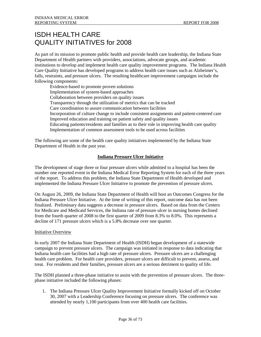# ISDH HEALTH CARE QUALITY INITIATIVES for 2008

As part of its mission to promote public health and provide health care leadership, the Indiana State Department of Health partners with providers, associations, advocate groups, and academic institutions to develop and implement health care quality improvement programs. The Indiana Health Care Quality Initiative has developed programs to address health care issues such as Alzheimer's, falls, restraints, and pressure ulcers. The resulting healthcare improvement campaigns include the following components:

Evidence-based to promote proven solutions Implementation of system-based approaches Collaboration between providers on quality issues Transparency through the utilization of metrics that can be tracked Care coordination to assure communication between facilities Incorporation of culture change to include consistent assignments and patient-centered care Improved education and training on patient safety and quality issues Educating patients/residents and families as to their role in improving health care quality Implementation of common assessment tools to be used across facilities

The following are some of the health care quality initiatives implemented by the Indiana State Department of Health in the past year.

# **Indiana Pressure Ulcer Initiative**

The development of stage three or four pressure ulcers while admitted to a hospital has been the number one reported event in the Indiana Medical Error Reporting System for each of the three years of the report. To address this problem, the Indiana State Department of Health developed and implemented the Indiana Pressure Ulcer Initiative to promote the prevention of pressure ulcers.

On August 26, 2009, the Indiana State Department of Health will host an Outcomes Congress for the Indiana Pressure Ulcer Initiative. At the time of writing of this report, outcome data has not been finalized. Preliminary data suggests a decrease in pressure ulcers. Based on data from the Centers for Medicare and Medicaid Services, the Indiana rate of pressure ulcer in nursing homes declined from the fourth quarter of 2008 to the first quarter of 2009 from 8.3% to 8.0%. This represents a decline of 171 pressure ulcers which is a 5.8% decrease over one quarter.

#### Initiative Overview

In early 2007 the Indiana State Department of Health (ISDH) began development of a statewide campaign to prevent pressure ulcers. The campaign was initiated in response to data indicating that Indiana health care facilities had a high rate of pressure ulcers. Pressure ulcers are a challenging health care problem. For health care providers, pressure ulcers are difficult to prevent, assess, and treat. For residents and their families, pressure ulcers are a serious detriment to quality of life.

The ISDH planned a three-phase initiative to assist with the prevention of pressure ulcers. The threephase initiative included the following phases:

1. The Indiana Pressure Ulcer Quality Improvement Initiative formally kicked off on October 30, 2007 with a Leadership Conference focusing on pressure ulcers. The conference was attended by nearly 1,100 participants from over 400 health care facilities.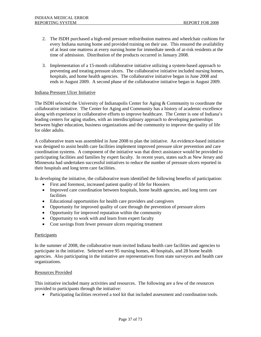- 2. The ISDH purchased a high-end pressure redistribution mattress and wheelchair cushions for every Indiana nursing home and provided training on their use. This ensured the availability of at least one mattress at every nursing home for immediate needs of at-risk residents at the time of admission. Distribution of the products occurred in January 2008.
- 3. Implementation of a 15-month collaborative initiative utilizing a system-based approach to preventing and treating pressure ulcers. The collaborative initiative included nursing homes, hospitals, and home health agencies. The collaborative initiative began in June 2008 and ends in August 2009. A second phase of the collaborative initiative began in August 2009.

#### Indiana Pressure Ulcer Initiative

The ISDH selected the University of Indianapolis Center for Aging & Community to coordinate the collaborative initiative. The Center for Aging and Community has a history of academic excellence along with experience in collaborative efforts to improve healthcare. The Center is one of Indiana's leading centers for aging studies, with an interdisciplinary approach to developing partnerships between higher education, business organizations and the community to improve the quality of life for older adults.

A collaborative team was assembled in June 2008 to plan the initiative. An evidence-based initiative was designed to assist health care facilities implement improved pressure ulcer prevention and care coordination systems. A component of the initiative was that direct assistance would be provided to participating facilities and families by expert faculty. In recent years, states such as New Jersey and Minnesota had undertaken successful initiatives to reduce the number of pressure ulcers reported in their hospitals and long term care facilities.

In developing the initiative, the collaborative team identified the following benefits of participation:

- First and foremost, increased patient quality of life for Hoosiers
- Improved care coordination between hospitals, home health agencies, and long term care facilities
- Educational opportunities for health care providers and caregivers
- Opportunity for improved quality of care through the prevention of pressure ulcers
- Opportunity for improved reputation within the community
- Opportunity to work with and learn from expert faculty
- Cost savings from fewer pressure ulcers requiring treatment

#### Participants

In the summer of 2008, the collaborative team invited Indiana health care facilities and agencies to participate in the initiative. Selected were 95 nursing homes, 40 hospitals, and 28 home health agencies. Also participating in the initiative are representatives from state surveyors and health care organizations.

#### Resources Provided

This initiative included many activities and resources. The following are a few of the resources provided to participants through the initiative:

• Participating facilities received a tool kit that included assessment and coordination tools.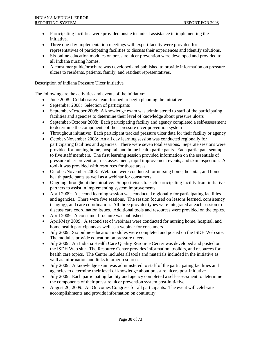- Participating facilities were provided onsite technical assistance in implementing the initiative.
- Three one-day implementation meetings with expert faculty were provided for representatives of participating facilities to discuss their experiences and identify solutions.
- Six online education modules on pressure ulcer prevention were developed and provided to all Indiana nursing homes.
- A consumer guide/brochure was developed and published to provide information on pressure ulcers to residents, patients, family, and resident representatives.

# Description of Indiana Pressure Ulcer Initiative

The following are the activities and events of the initiative:

- June 2008: Collaborative team formed to begin planning the initiative
- September 2008: Selection of participants
- September/October 2008: A knowledge exam was administered to staff of the participating facilities and agencies to determine their level of knowledge about pressure ulcers
- September/October 2008: Each participating facility and agency completed a self-assessment to determine the components of their pressure ulcer prevention system
- Throughout initiative: Each participant tracked pressure ulcer data for their facility or agency
- October/November 2008: An all day learning session was conducted regionally for participating facilities and agencies. There were seven total sessions. Separate sessions were provided for nursing home, hospital, and home health participants. Each participant sent up to five staff members. The first learning session provided information on the essentials of pressure ulcer prevention, risk assessment, rapid improvement events, and skin inspection. A toolkit was provided with resources for those areas.
- October/November 2008: Webinars were conducted for nursing home, hospital, and home health participants as well as a webinar for consumers
- Ongoing throughout the initiative: Support visits to each participating facility from initiative partners to assist in implementing system improvements
- April 2009: A second learning session was conducted regionally for participating facilities and agencies. There were five sessions. The session focused on lessons learned, consistency (staging), and care coordination. All three provider types were integrated at each session to discuss care coordination issues. Additional tools and resources were provided on the topics.
- April 2009: A consumer brochure was published
- April/May 2009: A second set of webinars were conducted for nursing home, hospital, and home health participants as well as a webinar for consumers
- July 2009: Six online education modules were completed and posted on the ISDH Web site. The modules provide education on pressure ulcers.
- July 2009: An Indiana Health Care Quality Resource Center was developed and posted on the ISDH Web site. The Resource Center provides information, toolkits, and resources for health care topics. The Center includes all tools and materials included in the initiative as well as information and links to other resources.
- July 2009: A knowledge exam was administered to staff of the participating facilities and agencies to determine their level of knowledge about pressure ulcers post-initiative
- July 2009: Each participating facility and agency completed a self-assessment to determine the components of their pressure ulcer prevention system post-initiative
- August 26, 2009: An Outcomes Congress for all participants. The event will celebrate accomplishments and provide information on continuity.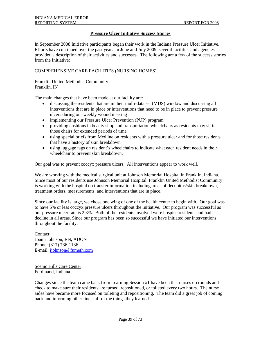# **Pressure Ulcer Initiative Success Stories**

In September 2008 Initiative participants began their work in the Indiana Pressure Ulcer Initiative. Efforts have continued over the past year. In June and July 2009, several facilities and agencies provided a description of their activities and successes. The following are a few of the success stories from the Initiative:

# COMPREHENSIVE CARE FACILITIES (NURSING HOMES)

#### Franklin United Methodist Community Franklin, IN

The main changes that have been made at our facility are:

- discussing the residents that are in their multi-data set (MDS) window and discussing all interventions that are in place or interventions that need to be in place to prevent pressure ulcers during our weekly wound meeting
- implementing our Pressure Ulcer Prevention (PUP) program
- providing cushions in beauty shop and transportation wheelchairs as residents may sit in those chairs for extended periods of time
- using special briefs from Medline on residents with a pressure ulcer and for those residents that have a history of skin breakdown
- using luggage tags on resident's wheelchairs to indicate what each resident needs in their wheelchair to prevent skin breakdown.

Our goal was to prevent coccyx pressure ulcers. All interventions appear to work well.

We are working with the medical surgical unit at Johnson Memorial Hospital in Franklin, Indiana. Since most of our residents use Johnson Memorial Hospital, Franklin United Methodist Community is working with the hospital on transfer information including areas of decubitus/skin breakdown, treatment orders, measurements, and interventions that are in place.

Since our facility is large, we chose one wing of one of the health center to begin with. Our goal was to have 5% or less coccyx pressure ulcers throughout the initiative. Our program was successful as our pressure ulcer rate is 2.3%. Both of the residents involved were hospice residents and had a decline in all areas. Since our program has been so successful we have initiated our interventions throughout the facility.

Contact: Joann Johnson, RN, ADON Phone: (317) 736-1136 E-mail: [jjohnson@fumeth.com](mailto:jjohnson@fumeth.com) 

Scenic Hills Care Center Ferdinand, Indiana

Changes since the team came back from Learning Session #1 have been that nurses do rounds and check to make sure their residents are turned, repositioned, or toileted every two hours. The nurse aides have became more focused on toileting and repositioning. The team did a great job of coming back and informing other line staff of the things they learned.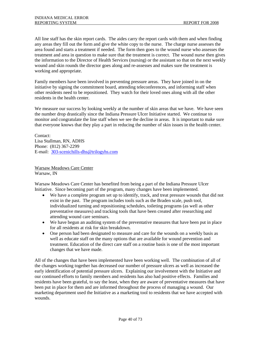All line staff has the skin report cards. The aides carry the report cards with them and when finding any areas they fill out the form and give the white copy to the nurse. The charge nurse assesses the area found and starts a treatment if needed. The form then goes to the wound nurse who assesses the treatment and area in question to make sure that the treatment is correct. The wound nurse then gives the information to the Director of Health Services (nursing) or the assistant so that on the next weekly wound and skin rounds the director goes along and re-assesses and makes sure the treatment is working and appropriate.

Family members have been involved in preventing pressure areas. They have joined in on the initiative by signing the commitment board, attending teleconferences, and informing staff when other residents need to be repositioned. They watch for their loved ones along with all the other residents in the health center.

We measure our success by looking weekly at the number of skin areas that we have. We have seen the number drop drastically since the Indiana Pressure Ulcer Initiative started. We continue to monitor and congratulate the line staff when we see the decline in areas. It is important to make sure that everyone knows that they play a part in reducing the number of skin issues in the health center.

Contact: Lisa Stallman, RN, ADHS Phone: (812) 367-2299 E-mail: [303-scenichills-dhs@trilogyhs.com](mailto:303-scenichills-dhs@trilogyhs.com)

Warsaw Meadows Care Center Warsaw, IN

Warsaw Meadows Care Center has benefited from being a part of the Indiana Pressure Ulcer Initiative. Since becoming part of the program, many changes have been implemented.

- We have a complete program set up to identify, track, and treat pressure wounds that did not exist in the past. The program includes tools such as the Braden scale, push tool, individualized turning and repositioning schedules, toileting programs (as well as other preventative measures) and tracking tools that have been created after researching and attending wound care seminars.
- We have begun an auditing system of the preventative measures that have been put in place for all residents at risk for skin breakdown.
- One person had been designated to measure and care for the wounds on a weekly basis as well as educate staff on the many options that are available for wound prevention and treatment. Education of the direct care staff on a routine basis is one of the most important changes that we have made.

All of the changes that have been implemented have been working well. The combination of all of the changes working together has decreased our number of pressure ulcers as well as increased the early identification of potential pressure ulcers. Explaining our involvement with the Initiative and our continued efforts to family members and residents has also had positive effects. Families and residents have been grateful, to say the least, when they are aware of preventative measures that have been put in place for them and are informed throughout the process of managing a wound. Our marketing department used the Initiative as a marketing tool to residents that we have accepted with wounds.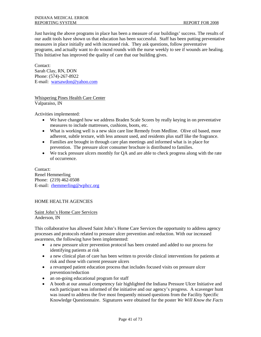Just having the above programs in place has been a measure of our buildings' success. The results of our audit tools have shown us that education has been successful. Staff has been putting preventative measures in place initially and with increased risk. They ask questions, follow preventative programs, and actually want to do wound rounds with the nurse weekly to see if wounds are healing. This Initiative has improved the quality of care that our building gives.

Contact: Sarah Clay, RN, DON Phone: (574)-267-8922 E-mail: [warsawdon@yahoo.com](mailto:warsawdon@yahoo.com)

Whispering Pines Health Care Center Valparaiso, IN

Activities implemented:

- We have changed how we address Braden Scale Scores by really keying in on preventative measures to include mattresses, cushions, boots, etc.
- What is working well is a new skin care line Remedy from Medline. Olive oil based, more adherent, subtle texture, with less amount used, and residents plus staff like the fragrance.
- Families are brought in through care plan meetings and informed what is in place for prevention. The pressure ulcer consumer brochure is distributed to families.
- We track pressure ulcers monthly for QA and are able to check progress along with the rate of occurrence.

Contact: Renel Hemmerling Phone: (219) 462-0508 E-mail: [rhemmerling@wphcc.org](mailto:rhemmerling@wphcc.org)

# HOME HEALTH AGENCIES

Saint John's Home Care Services Anderson, IN

This collaborative has allowed Saint John's Home Care Services the opportunity to address agency processes and protocols related to pressure ulcer prevention and reduction. With our increased awareness, the following have been implemented:

- a new pressure ulcer prevention protocol has been created and added to our process for identifying patients at risk
- a new clinical plan of care has been written to provide clinical interventions for patients at risk and those with current pressure ulcers
- a revamped patient education process that includes focused visits on pressure ulcer prevention/reduction
- an on-going educational program for staff
- A booth at our annual competency fair highlighted the Indiana Pressure Ulcer Initiative and each participant was informed of the initiative and our agency's progress. A scavenger hunt was issued to address the five most frequently missed questions from the Facility Specific Knowledge Questionnaire. Signatures were obtained for the poster *We Will Know the Facts*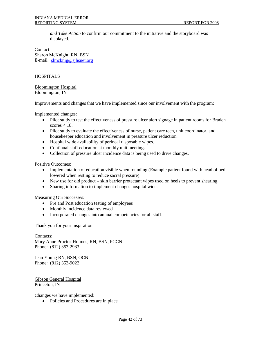*and Take Action* to confirm our commitment to the initiative and the storyboard was displayed.

Contact: Sharon McKnight, RN, BSN E-mail: [slmcknig@sjhsnet.org](mailto:slmcknig@sjhsnet.org)

# HOSPITALS

Bloomington Hospital Bloomington, IN

Improvements and changes that we have implemented since our involvement with the program:

Implemented changes:

- Pilot study to test the effectiveness of pressure ulcer alert signage in patient rooms for Braden scores  $< 18$ .
- Pilot study to evaluate the effectiveness of nurse, patient care tech, unit coordinator, and housekeeper education and involvement in pressure ulcer reduction.
- Hospital wide availability of perineal disposable wipes.
- Continual staff education at monthly unit meetings.
- Collection of pressure ulcer incidence data is being used to drive changes.

Positive Outcomes:

- Implementation of education visible when rounding (Example patient found with head of bed lowered when resting to reduce sacral pressure)
- New use for old product skin barrier protectant wipes used on heels to prevent shearing.
- Sharing information to implement changes hospital wide.

Measuring Our Successes:

- Pre and Post education testing of employees
- Monthly incidence data reviewed
- Incorporated changes into annual competencies for all staff.

Thank you for your inspiration.

Contacts: Mary Anne Proctor-Holmes, RN, BSN, PCCN Phone: (812) 353-2933

Jean Young RN, BSN, OCN Phone: (812) 353-9022

Gibson General Hospital Princeton, IN

Changes we have implemented:

• Policies and Procedures are in place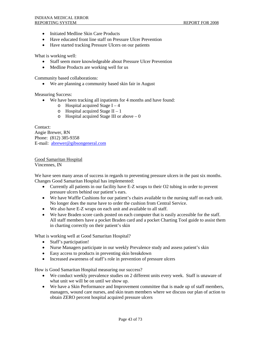- Initiated Medline Skin Care Products
- Have educated front line staff on Pressure Ulcer Prevention
- Have started tracking Pressure Ulcers on our patients

What is working well:

- Staff seem more knowledgeable about Pressure Ulcer Prevention
- Medline Products are working well for us

Community based collaborations:

• We are planning a community based skin fair in August

Measuring Success:

- We have been tracking all inpatients for 4 months and have found:
	- $\circ$  Hospital acquired Stage I 4
	- $\circ$  Hospital acquired Stage II 1
	- $\circ$  Hospital acquired Stage III or above 0

Contact:

Angie Brewer, RN Phone: (812) 385-9358 E-mail: [abrewer@gibsongeneral.com](mailto:abrewer@gibsongeneral.com)

Good Samaritan Hospital Vincennes, IN

We have seen many areas of success in regards to preventing pressure ulcers in the past six months. Changes Good Samaritan Hospital has implemented:

- Currently all patients in our facility have E-Z wraps to their O2 tubing in order to prevent pressure ulcers behind our patient's ears.
- We have Waffle Cushions for our patient's chairs available to the nursing staff on each unit. No longer does the nurse have to order the cushion from Central Service.
- We also have E-Z wraps on each unit and available to all staff.
- We have Braden score cards posted on each computer that is easily accessible for the staff. All staff members have a pocket Braden card and a pocket Charting Tool guide to assist them in charting correctly on their patient's skin

What is working well at Good Samaritan Hospital?

- Staff's participation!
- Nurse Managers participate in our weekly Prevalence study and assess patient's skin
- Easy access to products in preventing skin breakdown
- Increased awareness of staff's role in prevention of pressure ulcers

How is Good Samaritan Hospital measuring our success?

- We conduct weekly prevalence studies on 2 different units every week. Staff is unaware of what unit we will be on until we show up.
- We have a Skin Performance and Improvement committee that is made up of staff members, managers, wound care nurses, and skin team members where we discuss our plan of action to obtain ZERO percent hospital acquired pressure ulcers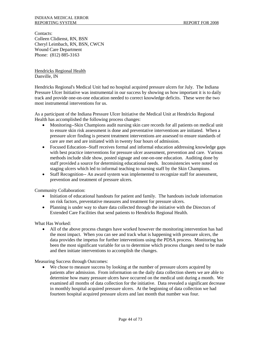Contacts: Colleen Clidienst, RN, BSN Cheryl Leimbach, RN, BSN, CWCN Wound Care Department Phone: (812) 885-3163

Hendricks Regional Health Danville, IN

Hendricks Regional's Medical Unit had no hospital acquired pressure ulcers for July. The Indiana Pressure Ulcer Initiative was instrumental in our success by showing us how important it is to daily track and provide one-on-one education needed to correct knowledge deficits. These were the two most instrumental interventions for us.

As a participant of the Indiana Pressure Ulcer Initiative the Medical Unit at Hendricks Regional Health has accomplished the following process changes:

- Monitoring--Skin Champions audit nursing skin care records for all patients on medical unit to ensure skin risk assessment is done and preventative interventions are initiated. When a pressure ulcer finding is present treatment interventions are assessed to ensure standards of care are met and are initiated with in twenty four hours of admission.
- Focused Education--Staff receives formal and informal education addressing knowledge gaps with best practice interventions for pressure ulcer assessment, prevention and care. Various methods include slide show, posted signage and one-on-one education. Auditing done by staff provided a source for determining educational needs. Inconsistencies were noted on staging ulcers which led to informal teaching to nursing staff by the Skin Champions.
- Staff Recognition-- An award system was implemented to recognize staff for assessment, prevention and treatment of pressure ulcers.

Community Collaboration:

- Initiation of educational handouts for patient and family. The handouts include information on risk factors, preventative measures and treatment for pressure ulcers.
- Planning is under way to share data collected through the initiative with the Directors of Extended Care Facilities that send patients to Hendricks Regional Health.

What Has Worked:

• All of the above process changes have worked however the monitoring intervention has had the most impact. When you can see and track what is happening with pressure ulcers, the data provides the impetus for further interventions using the PDSA process. Monitoring has been the most significant variable for us to determine which process changes need to be made and then initiate interventions to accomplish the changes.

Measuring Success through Outcomes:

• We chose to measure success by looking at the number of pressure ulcers acquired by patients after admission. From information on the daily data collection sheets we are able to determine how many pressure ulcers have occurred on the medical unit during a month. We examined all months of data collection for the initiative. Data revealed a significant decrease in monthly hospital acquired pressure ulcers. At the beginning of data collection we had fourteen hospital acquired pressure ulcers and last month that number was four.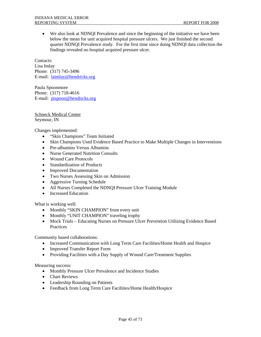• We also look at NDNQI Prevalence and since the beginning of the initiative we have been below the mean for unit acquired hospital pressure ulcers. We just finished the second quarter NDNQI Prevalence study. For the first time since doing NDNQI data collection the findings revealed no hospital acquired pressure ulcer.

Contacts: Lisa Imlay Phone: (317) 745-3496 E-mail: [laimlay@hendricks.org](mailto:laimlay@hendricks.org) 

Paula Spoonmore Phone: (317) 718-4616 E-mail: [pispoon@hendircks.org](mailto:pispoon@hendircks.org) 

Schneck Medical Center Seymour, IN

Changes implemented:

- "Skin Champions" Team Initiated
- Skin Champions Used Evidence Based Practice to Make Multiple Changes in Interventions
- Pre-albumins Versus Albumins
- Nurse Generated Nutrition Consults
- Wound Care Protocols
- Standardization of Products
- Improved Documentation
- Two Nurses Assessing Skin on Admission
- Aggressive Turning Schedule
- All Nurses Completed the NDNQI Pressure Ulcer Training Module
- Increased Education

What is working well:

- Monthly "SKIN CHAMPION" from every unit
- Monthly "UNIT CHAMPION" traveling trophy
- Mock Trials Educating Nurses on Pressure Ulcer Prevention Utilizing Evidence Based Practices

Community based collaborations:

- Increased Communication with Long Term Care Facilities/Home Health and Hospice
- Improved Transfer Report Form
- Providing Facilities with a Day Supply of Wound Care/Treatment Supplies

Measuring success:

- Monthly Pressure Ulcer Prevalence and Incidence Studies
- Chart Reviews
- Leadership Rounding on Patients
- Feedback from Long Term Care Facilities/Home Health/Hospice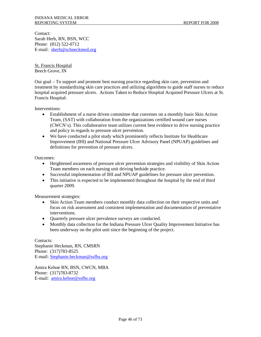Contact: Sarah Herb, RN, BSN, WCC Phone: (812) 522-0712 E-mail: [sherb@schneckmed.org](mailto:sherb@schneckmed.org)

St. Francis Hospital Beech Grove, IN

Our goal – To support and promote best nursing practice regarding skin care, prevention and treatment by standardizing skin care practices and utilizing algorithms to guide staff nurses to reduce hospital acquired pressure ulcers. Actions Taken to Reduce Hospital Acquired Pressure Ulcers at St. Francis Hospital:

Interventions:

- Establishment of a nurse driven committee that convenes on a monthly basis Skin Action Team, (SAT) with collaboration from the organizations certified wound care nurses (CWCN's). This collaborative team utilizes current best evidence to drive nursing practice and policy in regards to pressure ulcer prevention.
- We have conducted a pilot study which prominently reflects Institute for Healthcare Improvement (IHI) and National Pressure Ulcer Advisory Panel (NPUAP) guidelines and definitions for prevention of pressure ulcers.

Outcomes:

- Heightened awareness of pressure ulcer prevention strategies and visibility of Skin Action Team members on each nursing unit driving bedside practice.
- Successful implementation of IHI and NPUAP guidelines for pressure ulcer prevention.
- This initiative is expected to be implemented throughout the hospital by the end of third quarter 2009.

Measurement strategies:

- Skin Action Team members conduct monthly data collection on their respective units and focus on risk assessment and consistent implementation and documentation of preventative interventions.
- Quarterly pressure ulcer prevalence surveys are conducted.
- Monthly data collection for the Indiana Pressure Ulcer Quality Improvement Initiative has been underway on the pilot unit since the beginning of the project.

Contacts: Stephanie Heckman, RN, CMSRN Phone: (317)783-8525 E-mail: [Stephanie.heckman@ssfhs.org](mailto:Stephanie.heckman@ssfhs.org)

Amira Kehoe RN, BSN, CWCN, MBA Phone: (317)783-8732 E-mail: [amira.kehoe@ssfhs.org](mailto:amira.kehoe@ssfhs.org)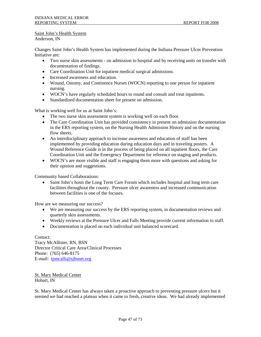#### Saint John's Health System Anderson, IN

Changes Saint John's Health System has implemented during the Indiana Pressure Ulcer Prevention Initiative are:

- Two nurse skin assessments on admission to hospital and by receiving units on transfer with documentation of findings.
- Care Coordination Unit for inpatient medical surgical admissions.
- Increased awareness and education.
- Wound, Ostomy, and Continence Nurses (WOCN) reporting to one person for inpatient nursing.
- WOCN's have regularly scheduled hours to round and consult and treat inpatients.
- Standardized documentation sheet for present on admission.

What is working well for us at Saint John's:

- The two nurse skin assessment system is working well on each floor.
- The Care Coordination Unit has provided consistency in present on admission documentation in the ERS reporting system, on the Nursing Health Admission History and on the nursing flow sheets.
- An interdisciplinary approach to increase awareness and education of staff has been implemented by providing education during education days and in traveling posters. A Wound Reference Guide is in the process of being placed on all inpatient floors, the Care Coordination Unit and the Emergency Department for reference on staging and products.
- WOCN's are more visible and staff is engaging them more with questions and asking for their opinion and suggestions.

Community based Collaborations:

• Saint John's hosts the Long Term Care Forum which includes hospital and long term care facilities throughout the county. Pressure ulcer awareness and increased communication between facilities is one of the focuses.

How are we measuring our success?

- We are measuring our success by the ERS reporting system, in documentation reviews and quarterly skin assessments.
- Weekly reviews at the Pressure Ulcer and Falls Meeting provide current information to staff.
- Documentation is placed on each individual unit balanced scorecard.

#### Contact:

Tracy McAllister, RN, BSN Director Critical Care Area/Clinical Processes Phone: (765) 646-8175 E-mail: [tpmcalli@sjhsnet.org](mailto:tpmcalli@sjhsnet.org)

St. Mary Medical Center Hobart, IN

St. Mary Medical Center has always taken a proactive approach to preventing pressure ulcers but it seemed we had reached a plateau when it came to fresh, creative ideas. We had already implemented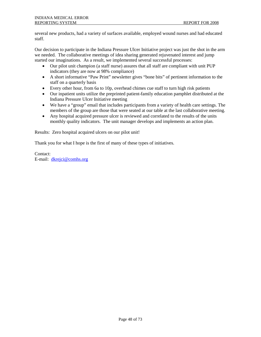several new products, had a variety of surfaces available, employed wound nurses and had educated staff.

Our decision to participate in the Indiana Pressure Ulcer Initiative project was just the shot in the arm we needed. The collaborative meetings of idea sharing generated rejuvenated interest and jump started our imaginations. As a result, we implemented several successful processes:

- Our pilot unit champion (a staff nurse) assures that all staff are compliant with unit PUP indicators (they are now at 98% compliance)
- A short informative "Paw Print" newsletter gives "bone bits" of pertinent information to the staff on a quarterly basis
- Every other hour, from 6a to 10p, overhead chimes cue staff to turn high risk patients
- Our inpatient units utilize the preprinted patient-family education pamphlet distributed at the Indiana Pressure Ulcer Initiative meeting
- We have a "group" email that includes participants from a variety of health care settings. The members of the group are those that were seated at our table at the last collaborative meeting.
- Any hospital acquired pressure ulcer is reviewed and correlated to the results of the units monthly quality indicators. The unit manager develops and implements an action plan.

Results: Zero hospital acquired ulcers on our pilot unit!

Thank you for what I hope is the first of many of these types of initiatives.

Contact: E-mail: [dkrejci@comhs.org](mailto:dkrejci@comhs.org)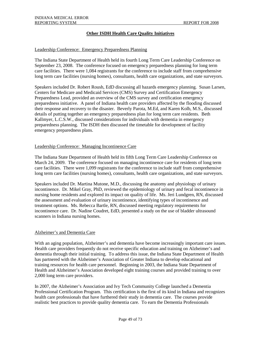# **Other ISDH Health Care Quality Initiatives**

#### Leadership Conference: Emergency Preparedness Planning

The Indiana State Department of Health held its fourth Long Term Care Leadership Conference on September 23, 2008. The conference focused on emergency preparedness planning for long term care facilities. There were 1,084 registrants for the conference to include staff from comprehensive long term care facilities (nursing homes), consultants, health care organizations, and state surveyors.

Speakers included Dr. Robert Roush, EdD discussing all hazards emergency planning. Susan Larsen, Centers for Medicare and Medicaid Services (CMS) Survey and Certification Emergency Preparedness Lead, provided an overview of the CMS survey and certification emergency preparedness initiative. A panel of Indiana health care providers affected by the flooding discussed their response and recovery to the disaster. Beverly Parota, M.Ed, and Karen Kolb, M.S., discussed details of putting together an emergency preparedness plan for long term care residents. Beth Kallmyer, L.C.S.W., discussed considerations for individuals with dementia in emergency preparedness planning. The ISDH then discussed the timetable for development of facility emergency preparedness plans.

# Leadership Conference: Managing Incontinence Care

The Indiana State Department of Health held its fifth Long Term Care Leadership Conference on March 24, 2009. The conference focused on managing incontinence care for residents of long term care facilities. There were 1,099 registrants for the conference to include staff from comprehensive long term care facilities (nursing homes), consultants, health care organizations, and state surveyors.

Speakers included Dr. Martina Mutone, M.D., discussing the anatomy and physiology of urinary incontinence. Dr. Mikel Gray, PhD, reviewed the epidemiology of urinary and fecal incontinence in nursing home residents and explored its impact on quality of life. Ms. Jeri Lundgren, RN, discussed the assessment and evaluation of urinary incontinence, identifying types of incontinence and treatment options. Ms. Rebecca Bartle, RN, discussed meeting regulatory requirements for incontinence care. Dr. Nadine Coudret, EdD, presented a study on the use of bladder ultrasound scanners in Indiana nursing homes.

# Alzheimer's and Dementia Care

With an aging population, Alzheimer's and dementia have become increasingly important care issues. Health care providers frequently do not receive specific education and training on Alzheimer's and dementia through their initial training. To address this issue, the Indiana State Department of Health has partnered with the Alzheimer's Association of Greater Indiana to develop educational and training resources for health care personnel. Beginning in 2003, the Indiana State Department of Health and Alzheimer's Association developed eight training courses and provided training to over 2,000 long term care providers.

In 2007, the Alzheimer's Association and Ivy Tech Community College launched a Dementia Professional Certification Program. This certification is the first of its kind in Indiana and recognizes health care professionals that have furthered their study in dementia care. The courses provide realistic best practices to provide quality dementia care. To earn the Dementia Professionals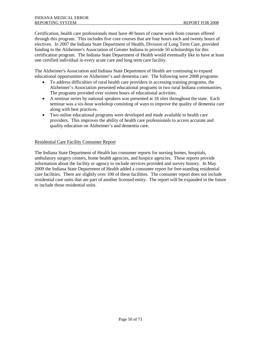Certification, health care professionals must have 40 hours of course work from courses offered through this program. This includes five core courses that are four hours each and twenty hours of electives. In 2007 the Indiana State Department of Health, Division of Long Term Care, provided funding to the Alzheimer's Association of Greater Indiana to provide 50 scholarships for this certification program. The Indiana State Department of Health would eventually like to have at least one certified individual in every acute care and long term care facility.

The Alzheimer's Association and Indiana State Department of Health are continuing to expand educational opportunities on Alzheimer's and dementia care. The following were 2008 programs:

- To address difficulties of rural health care providers in accessing training programs, the Alzheimer's Association presented educational programs in two rural Indiana communities. The programs provided over sixteen hours of educational activities.
- A seminar series by national speakers was presented at 18 sites throughout the state. Each seminar was a six-hour workshop consisting of ways to improve the quality of dementia care along with best practices.
- Two online educational programs were developed and made available to health care providers. This improves the ability of health care professionals to access accurate and quality education on Alzheimer's and dementia care.

# Residential Care Facility Consumer Report

The Indiana State Department of Health has consumer reports for nursing homes, hospitals, ambulatory surgery centers, home health agencies, and hospice agencies. These reports provide information about the facility or agency to include services provided and survey history. In May 2009 the Indiana State Department of Health added a consumer report for free-standing residential care facilities. There are slightly over 100 of these facilities. The consumer report does not include residential care units that are part of another licensed entity. The report will be expanded in the future to include those residential units.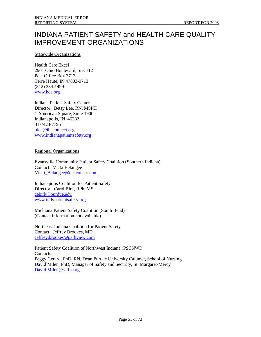# INDIANA PATIENT SAFETY and HEALTH CARE QUALITY IMPROVEMENT ORGANIZATIONS

Statewide Organizations

Health Care Excel 2901 Ohio Boulevard, Ste. 112 Post Office Box 3713 Terre Haute, IN 47803-0713 (812) 234-1499 [www.hce.org](http://www.hce.org/)

Indiana Patient Safety Center Director: Betsy Lee, RN, MSPH 1 American Square, Suite 1900 Indianapolis, IN 46282 317/423-7795 [blee@ihaconnect.org](mailto:blee@ihaconnect.org) [www.indianapatientsafety.org](http://www.indianapatientsafety.org/)

#### Regional Organizations

Evansville Community Patient Safety Coalition (Southern Indiana) Contact: Vicki Belangee [Vicki\\_Belangee@deaconess.com](mailto:Vicki_Belangee@deaconess.com)

Indianapolis Coalition for Patient Safety Director: Carol Birk, RPh, MS [cebirk@purdue.edu](mailto:cebirk@purdue.edu) [www.indypatientsafety.org](http://www.indypatientsafety.org/)

Michiana Patient Safety Coalition (South Bend) (Contact information not available)

Northeast Indiana Coalition for Patient Safety Contact: Jeffrey Brookes, MD [Jeffrey.brookes@parkview.com](mailto:Jeffrey.brookes@parkview.com)

Patient Safety Coalition of Northwest Indiana (PSCNWI) Contacts: Peggy Gerard, PhD, RN, Dean Purdue University Calumet, School of Nursing David Milen, PhD, Manager of Safety and Security, St. Margaret-Mercy [David.Milen@ssfhs.org](mailto:David.Milen@ssfhs.org)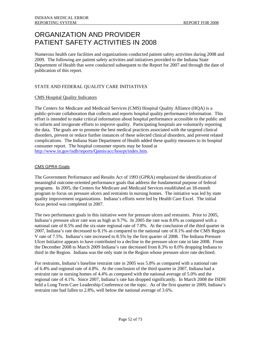# ORGANIZATION AND PROVIDER PATIENT SAFETY ACTIVITIES IN 2008

Numerous health care facilities and organizations conducted patient safety activities during 2008 and 2009. The following are patient safety activities and initiatives provided to the Indiana State Department of Health that were conducted subsequent to the Report for 2007 and through the date of publication of this report.

# STATE AND FEDERAL QUALITY CARE INITIATIVES

# CMS Hospital Quality Indicators

The Centers for Medicare and Medicaid Services (CMS) Hospital Quality Alliance (HQA) is a public-private collaboration that collects and reports hospital quality performance information. This effort is intended to make critical information about hospital performance accessible to the public and to inform and invigorate efforts to improve quality. Participating hospitals are voluntarily reporting the data. The goals are to promote the best medical practices associated with the targeted clinical disorders, prevent or reduce further instances of these selected clinical disorders, and prevent related complications. The Indiana State Department of Health added these quality measures to its hospital consumer report. The hospital consumer reports may be found at [http://www.in.gov/isdh/reports/Qamis/acc/hosrpt/index.htm.](http://www.in.gov/isdh/reports/Qamis/acc/hosrpt/index.htm)

#### CMS GPRA Goals

The Government Performance and Results Act of 1993 (GPRA) emphasized the identification of meaningful outcome-oriented performance goals that address the fundamental purpose of federal programs. In 2005, the Centers for Medicare and Medicaid Services established an 18-month program to focus on pressure ulcers and restraints in nursing homes. The initiative was led by state quality improvement organizations. Indiana's efforts were led by Health Care Excel. The initial focus period was completed in 2007.

The two performance goals in this initiative were for pressure ulcers and restraints. Prior to 2005, Indiana's pressure ulcer rate was as high as 9.7%. In 2005 the rate was 8.6% as compared with a national rate of 8.5% and the six-state regional rate of 7.8%. At the conclusion of the third quarter in 2007, Indiana's rate decreased to 8.1% as compared to the national rate of 8.1% and the CMS Region V rate of 7.5%. Indiana's rate increased to 8.5% by the first quarter of 2008. The Indiana Pressure Ulcer Initiative appears to have contributed to a decline in the pressure ulcer rate in late 2008. From the December 2008 to March 2009 Indiana's rate decreased from 8.3% to 8.0% dropping Indiana to third in the Region. Indiana was the only state in the Region whose pressure ulcer rate declined.

For restraints, Indiana's baseline restraint rate in 2005 was 5.8% as compared with a national rate of 6.4% and regional rate of 4.8%. At the conclusion of the third quarter in 2007, Indiana had a restraint rate in nursing homes of 4.4% as compared with the national average of 5.0% and the regional rate of 4.1%. Since 2007, Indiana's rate has dropped significantly. In March 2008 the ISDH held a Long Term Care Leadership Conference on the topic. As of the first quarter in 2009, Indiana's restraint rate had fallen to 2.8%, well below the national average of 3.6%.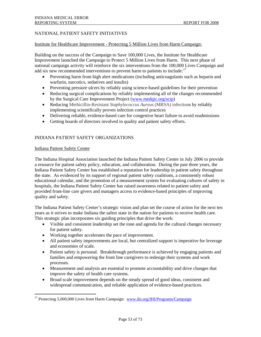# NATIONAL PATIENT SAFETY INITIATIVES

#### Institute for Healthcare Improvement - Protecting 5 Million Lives from Harm Campaign:

Building on the success of the Campaign to Save 100,000 Lives, the Institute for Healthcare Improvement launched the Campaign to Protect 5 Million Lives from Harm. This next phase of national campaign activity will reinforce the six interventions from the 100,000 Lives Campaign and add six new recommended interventions to prevent harm to patients to include: $17$ 

- Preventing harm from high alert medications (including anticoagulants such as heparin and warfarin, narcotics, sedatives and insulin)
- Preventing pressure ulcers by reliably using science-based guidelines for their prevention
- Reducing surgical complications by reliably implementing all of the changes recommended by the Surgical Care Improvement Project [\(www.medqic.org/scip\)](http://www.medqic.org/scip)
- Reducing Methicillin-Resistant *Staphylococcus Aureus* (MRSA) infections by reliably implementing scientifically proven infection control practices
- Delivering reliable, evidence-based care for congestive heart failure to avoid readmissions
- Getting boards of directors involved in quality and patient safety efforts.

# INDIANA PATIENT SAFETY ORGANIZATIONS

# Indiana Patient Safety Center

The Indiana Hospital Association launched the Indiana Patient Safety Center in July 2006 to provide a resource for patient safety policy, education, and collaboration. During the past three years, the Indiana Patient Safety Center has established a reputation for leadership in patient safety throughout the state. As evidenced by its support of regional patient safety coalitions, a consistently robust educational calendar, and the promotion of a measurement system for evaluating cultures of safety in hospitals, the Indiana Patient Safety Center has raised awareness related to patient safety and provided front-line care givers and managers access to evidence-based principles of improving quality and safety.

The Indiana Patient Safety Center's strategic vision and plan set the course of action for the next ten years as it strives to make Indiana the safest state in the nation for patients to receive health care. This strategic plan incorporates six guiding principles that drive the work:

- Visible and consistent leadership set the tone and agenda for the cultural changes necessary for patient safety.
- Working together accelerates the pace of improvement.
- All patient safety improvements are local, but centralized support is imperative for leverage and economies of scale.
- Patient safety is personal. Breakthrough performance is achieved by engaging patients and families and empowering the front line caregivers to redesign their systems and work processes.
- Measurement and analysis are essential to promote accountability and drive changes that improve the safety of health care systems.
- Broad scale improvement depends on the steady spread of good ideas, consistent and widespread communication, and reliable application of evidence-based practices.

<span id="page-54-0"></span><sup>&</sup>lt;sup>17</sup> Protecting 5,000,000 Lives from Harm Campaign: [www.ihi.org/IHI/Programs/Campaign](http://www.ihi.org/IHI/Programs/Campaign)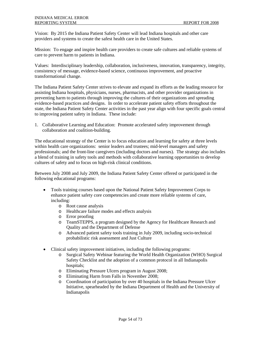Vision:By 2015 the Indiana Patient Safety Center will lead Indiana hospitals and other care providers and systems to create the safest health care in the United States.

Mission: To engage and inspire health care providers to create safe cultures and reliable systems of care to prevent harm to patients in Indiana.

Values:Interdisciplinary leadership, collaboration, inclusiveness, innovation, transparency, integrity, consistency of message, evidence-based science, continuous improvement, and proactive transformational change.

The Indiana Patient Safety Center strives to elevate and expand its efforts as the leading resource for assisting Indiana hospitals, physicians, nurses, pharmacists, and other provider organizations in preventing harm to patients through improving the cultures of their organizations and spreading evidence-based practices and designs. In order to accelerate patient safety efforts throughout the state, the Indiana Patient Safety Center activities in the past year align with four specific goals central to improving patient safety in Indiana. These include:

1. Collaborative Learning and Education: Promote accelerated safety improvement through collaboration and coalition-building.

The educational strategy of the Center is to focus education and learning for safety at three levels within health care organizations: senior leaders and trustees; mid-level managers and safety professionals; and the front-line caregivers (including doctors and nurses). The strategy also includes a blend of training in safety tools and methods with collaborative learning opportunities to develop cultures of safety and to focus on high-risk clinical conditions.

Between July 2008 and July 2009, the Indiana Patient Safety Center offered or participated in the following educational programs:

- Tools training courses based upon the National Patient Safety Improvement Corps to enhance patient safety core competencies and create more reliable systems of care, including:
	- o Root cause analysis
	- o Healthcare failure modes and effects analysis
	- o Error proofing
	- o TeamSTEPPS, a program designed by the Agency for Healthcare Research and Quality and the Department of Defense
	- o Advanced patient safety tools training in July 2009, including socio-technical probabilistic risk assessment and Just Culture
- Clinical safety improvement initiatives, including the following programs:
	- o Surgical Safety Webinar featuring the World Health Organization (WHO) Surgical Safety Checklist and the adoption of a common protocol in all Indianapolis hospitals:
	- o Eliminating Pressure Ulcers program in August 2008;
	- o Eliminating Harm from Falls in November 2008;
	- o Coordination of participation by over 40 hospitals in the Indiana Pressure Ulcer Initiative, spearheaded by the Indiana Department of Health and the University of Indianapolis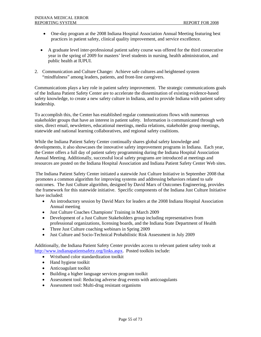- One-day program at the 2008 Indiana Hospital Association Annual Meeting featuring best practices in patient safety, clinical quality improvement, and service excellence.
- A graduate level inter-professional patient safety course was offered for the third consecutive year in the spring of 2009 for masters' level students in nursing, health administration, and public health at IUPUI.
- 2. Communication and Culture Change**:** Achieve safe cultures and heightened system "mindfulness" among leaders, patients, and front-line caregivers.

Communications plays a key role in patient safety improvement. The strategic communications goals of the Indiana Patient Safety Center are to accelerate the dissemination of existing evidence-based safety knowledge, to create a new safety culture in Indiana, and to provide Indiana with patient safety leadership.

To accomplish this, the Center has established regular communications flows with numerous stakeholder groups that have an interest in patient safety. Information is communicated through web sites, direct email, newsletters, educational meetings, media relations, stakeholder group meetings, statewide and national learning collaboratives, and regional safety coalitions.

While the Indiana Patient Safety Center continually shares global safety knowledge and developments, it also showcases the innovative safety improvement programs in Indiana. Each year, the Center offers a full day of patient safety programming during the Indiana Hospital Association Annual Meeting. Additionally, successful local safety programs are introduced at meetings and resources are posted on the Indiana Hospital Association and Indiana Patient Safety Center Web sites.

The Indiana Patient Safety Center initiated a statewide Just Culture Initiative in September 2008 that promotes a common algorithm for improving systems and addressing behaviors related to safe outcomes. The Just Culture algorithm, designed by David Marx of Outcomes Engineering, provides the framework for this statewide initiative. Specific components of the Indiana Just Culture Initiative have included:

- An introductory session by David Marx for leaders at the 2008 Indiana Hospital Association Annual meeting
- Just Culture Coaches Champions' Training in March 2009
- Development of a Just Culture Stakeholders group including representatives from professional organizations, licensing boards, and the Indiana State Department of Health
- Three Just Culture coaching webinars in Spring 2009
- Just Culture and Socio-Technical Probabilistic Risk Assessment in July 2009

Additionally, the Indiana Patient Safety Center provides access to relevant patient safety tools at [http://www.indianapatientsafety.org/links.aspx.](http://www.indianapatientsafety.org/links.aspx) Posted toolkits include:

- Wristband color standardization toolkit
- Hand hygiene toolkit
- Anticoagulant toolkit
- Building a higher language services program toolkit
- Assessment tool: Reducing adverse drug events with anticoagulants
- Assessment tool: Multi-drug resistant organisms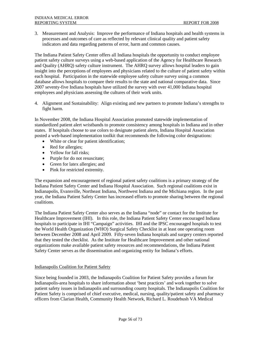3. Measurement and Analysis: Improve the performance of Indiana hospitals and health systems in processes and outcomes of care as reflected by relevant clinical quality and patient safety indicators and data regarding patterns of error, harm and common causes.

The Indiana Patient Safety Center offers all Indiana hospitals the opportunity to conduct employee patient safety culture surveys using a web-based application of the Agency for Healthcare Research and Quality (AHRQ) safety culture instrument. The AHRQ survey allows hospital leaders to gain insight into the perceptions of employees and physicians related to the culture of patient safety within each hospital. Participation in the statewide employee safety culture survey using a common database allows hospitals to compare their results to the state and national comparative data. Since 2007 seventy-five Indiana hospitals have utilized the survey with over 41,000 Indiana hospital employees and physicians assessing the cultures of their work units.

4. Alignment and Sustainability: Align existing and new partners to promote Indiana's strengths to fight harm.

In November 2008, the Indiana Hospital Association promoted statewide implementation of standardized patient alert wristbands to promote consistency among hospitals in Indiana and in other states. If hospitals choose to use colors to designate patient alerts, Indiana Hospital Association posted a web-based implementation toolkit that recommends the following color designations:

- White or clear for patient identification;
- Red for allergies;
- Yellow for fall risks:
- Purple for do not resuscitate;
- Green for latex allergies; and
- Pink for restricted extremity.

The expansion and encouragement of regional patient safety coalitions is a primary strategy of the Indiana Patient Safety Center and Indiana Hospital Association. Such regional coalitions exist in Indianapolis, Evansville, Northeast Indiana, Northwest Indiana and the Michiana region. In the past year, the Indiana Patient Safety Center has increased efforts to promote sharing between the regional coalitions.

The Indiana Patient Safety Center also serves as the Indiana "node" or contact for the Institute for Healthcare Improvement (IHI). In this role, the Indiana Patient Safety Center encouraged Indiana hospitals to participate in IHI "Campaign" activities. IHI and the IPSC encouraged hospitals to test the World Health Organization (WHO) Surgical Safety Checklist in at least one operating room between December 2008 and April 2009. Fifty-seven Indiana hospitals and surgery centers reported that they tested the checklist. As the Institute for Healthcare Improvement and other national organizations make available patient safety resources and recommendations, the Indiana Patient Safety Center serves as the dissemination and organizing entity for Indiana's efforts.

# Indianapolis Coalition for Patient Safety

Since being founded in 2003, the Indianapolis Coalition for Patient Safety provides a forum for Indianapolis-area hospitals to share information about 'best practices' and work together to solve patient safety issues in Indianapolis and surrounding county hospitals. The Indianapolis Coalition for Patient Safety is comprised of chief executive, medical, nursing, quality/patient safety and pharmacy officers from Clarian Health, Community Health Network, Richard L. Roudebush VA Medical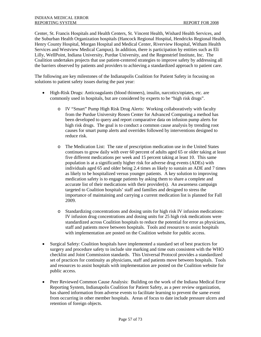Center, St. Francis Hospitals and Health Centers, St. Vincent Health, Wishard Health Services, and the Suburban Health Organization hospitals (Hancock Regional Hospital, Hendricks Regional Health, Henry County Hospital, Morgan Hospital and Medical Center, Riverview Hospital, Witham Health Services and Westview Medical Campus). In addition, there is participation by entities such as Eli Lilly, WellPoint, Indiana University, Purdue University, and the Regenstrief Institute, Inc. The Coalition undertakes projects that use patient-centered strategies to improve safety by addressing all the barriers observed by patients and providers to achieving a standardized approach to patient care.

The following are key milestones of the Indianapolis Coalition for Patient Safety in focusing on solutions to patient safety issues during the past year:

- High-Risk Drugs: Anticoagulants (blood thinners), insulin, narcotics/opiates, etc. are commonly used in hospitals, but are considered by experts to be "high risk drugs".
	- o IV "Smart" Pump High Risk Drug Alerts: Working collaboratively with faculty from the Purdue University Rosen Center for Advanced Computing a method has been developed to query and report comparative data on infusion pump alerts for high risk drugs. The goal is to conduct a common cause analysis by trending root causes for smart pump alerts and overrides followed by interventions designed to reduce risk.
	- o The Medication List: The rate of prescription medication use in the United States continues to grow daily with over 60 percent of adults aged 65 or older taking at least five different medications per week and 15 percent taking at least 10. This same population is at a significantly higher risk for adverse drug events (ADEs) with individuals aged 65 and older being 2.4 times as likely to sustain an ADE and 7 times as likely to be hospitalized versus younger patients. A key solution to improving medication safety is to engage patients by asking them to share a complete and accurate list of their medications with their provider(s). An awareness campaign targeted to Coalition hospitals' staff and families and designed to stress the importance of maintaining and carrying a current medication list is planned for Fall 2009.
	- o Standardizing concentrations and dosing units for high risk IV infusion medications: IV infusion drug concentrations and dosing units for 25 high risk medications were standardized across Coalition hospitals to reduce the potential for error as physicians, staff and patients move between hospitals. Tools and resources to assist hospitals with implementation are posted on the Coalition website for public access.
- Surgical Safety: Coalition hospitals have implemented a standard set of best practices for surgery and procedure safety to include site marking and time outs consistent with the WHO checklist and Joint Commission standards. This Universal Protocol provides a standardized set of practices for continuity as physicians, staff and patients move between hospitals. Tools and resources to assist hospitals with implementation are posted on the Coalition website for public access.
- Peer Reviewed Common Cause Analysis: Building on the work of the Indiana Medical Error Reporting System, Indianapolis Coalition for Patient Safety, as a peer review organization, has shared information from adverse events to facilitate learning to prevent the same event from occurring in other member hospitals. Areas of focus to date include pressure ulcers and retention of foreign objects.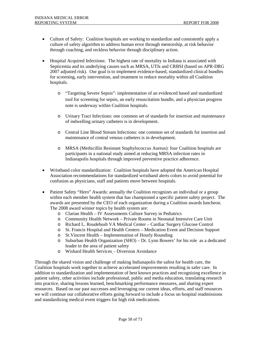- Culture of Safety: Coalition hospitals are working to standardize and consistently apply a culture of safety algorithm to address human error through mentorship, at risk behavior through coaching, and reckless behavior through disciplinary action.
- Hospital Acquired Infections: The highest rate of mortality in Indiana is associated with Septicemia and its underlying causes such as MRSA, UTIs and CRBSI (based on APR-DRG 2007 adjusted risk). Our goal is to implement evidence-based, standardized clinical bundles for screening, early intervention, and treatment to reduce mortality within all Coalition hospitals.
	- o "Targeting Severe Sepsis": implementation of an evidenced based and standardized tool for screening for sepsis, an early resuscitation bundle, and a physician progress note is underway within Coalition hospitals.
	- o Urinary Tract Infections: one common set of standards for insertion and maintenance of indwelling urinary catheters is in development.
	- o Central Line Blood Stream Infections: one common set of standards for insertion and maintenance of central venous catheters is in development.
	- o MRSA (Methicillin Resistant Staphylococcus Aureus): four Coalition hospitals are participants in a national study aimed at reducing MRSA infection rates in Indianapolis hospitals through improved preventive practice adherence.
- Wristband color standardization: Coalition hospitals have adopted the American Hospital Association recommendations for standardized wristband alerts colors to avoid potential for confusion as physicians, staff and patients move between hospitals.
- Patient Safety "Hero" Awards: annually the Coalition recognizes an individual or a group within each member health system that has championed a specific patient safety project. The awards are presented by the CEO of each organization during a Coalition awards luncheon. The 2008 award winner topics by health system are:
	- o Clarian Health IV Assessments Culture Survey in Pediatrics
	- o Community Health Network Private Rooms in Neonatal Intensive Care Unit
	- o Richard L. Roudebush VA Medical Center Cardiac Surgery Glucose Control
	- o St. Francis Hospital and Health Centers Medication Event and Decision Support
	- o St.Vincent Health Implementation of Hourly Rounding
	- o Suburban Health Organization (SHO) Dr. Lynn Bowers' for his role as a dedicated leader in the area of patient safety
	- o Wishard Health Services Diversion Avoidance

Through the shared vision and challenge of making Indianapolis the safest for health care, the Coalition hospitals work together to achieve accelerated improvements resulting in safer care. In addition to standardization and implementation of best known practices and recognizing excellence in patient safety, other activities include professional, public and media education, translating research into practice, sharing lessons learned, benchmarking performance measures, and sharing expert resources. Based on our past successes and leveraging our current ideas, efforts, and staff resources we will continue our collaborative efforts going forward to include a focus on hospital readmissions and standardizing medical event triggers for high risk medications.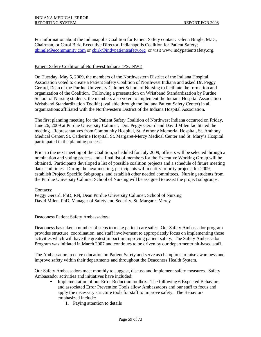For information about the Indianapolis Coalition for Patient Safety contact: Glenn Bingle, M.D., Chairman, or Carol Birk, Executive Director, Indianapolis Coalition for Patient Safety; [gbingle@ecommunity.com](mailto:gbingle@ecommunity.com) or [cbirk@indypatientsafety.org](mailto:cbirk@indypatientsafety.org) or visit www.indypatientsafety.org.

# Patient Safety Coalition of Northwest Indiana (PSCNWI)

On Tuesday, May 5, 2009, the members of the Northwestern District of the Indiana Hospital Association voted to create a Patient Safety Coalition of Northwest Indiana and asked Dr. Peggy Gerard, Dean of the Purdue University Calumet School of Nursing to facilitate the formation and organization of the Coalition. Following a presentation on Wristband Standardization by Purdue School of Nursing students, the members also voted to implement the Indiana Hospital Association Wristband Standardization Toolkit (available through the Indiana Patient Safety Center) in all organizations affiliated with the Northwestern District of the Indiana Hospital Association.

The first planning meeting for the Patient Safety Coalition of Northwest Indiana occurred on Friday, June 26, 2009 at Purdue University Calumet. Drs. Peggy Gerard and David Milen facilitated the meeting. Representatives from Community Hospital, St. Anthony Memorial Hospital, St. Anthony Medical Center, St. Catherine Hospital, St. Margaret-Mercy Medical Center and St. Mary's Hospital participated in the planning process.

Prior to the next meeting of the Coalition, scheduled for July 2009, officers will be selected through a nomination and voting process and a final list of members for the Executive Working Group will be obtained. Participants developed a list of possible coalition projects and a schedule of future meeting dates and times. During the next meeting, participants will identify priority projects for 2009, establish Project Specific Subgroups, and establish other needed committees. Nursing students from the Purdue University Calumet School of Nursing will be assigned to assist the project subgroups.

Contacts:

Peggy Gerard, PhD, RN, Dean Purdue University Calumet, School of Nursing David Milen, PhD, Manager of Safety and Security, St. Margaret-Mercy

# Deaconess Patient Safety Ambassadors

Deaconess has taken a number of steps to make patient care safer. Our Safety Ambassador program provides structure, coordination, and staff involvement to appropriately focus on implementing those activities which will have the greatest impact in improving patient safety. The Safety Ambassador Program was initiated in March 2007 and continues to be driven by our department/unit-based staff.

The Ambassadors receive education on Patient Safety and serve as champions to raise awareness and improve safety within their departments and throughout the Deaconess Health System.

Our Safety Ambassadors meet monthly to suggest, discuss and implement safety measures. Safety Ambassador activities and initiatives have included:

- Implementation of our Error Reduction toolbox. The following 6 Expected Behaviors and associated Error Prevention Tools allow Ambassadors and our staff to focus and apply the necessary structure tools for staff to improve safety. The Behaviors emphasized include:
	- 1. Paying attention to details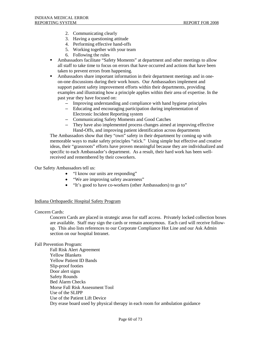- 2. Communicating clearly
- 3. Having a questioning attitude
- 4. Performing effective hand-offs
- 5. Working together with your team
- 6. Following the rules
- Ambassadors facilitate "Safety Moments" at department and other meetings to allow all staff to take time to focus on errors that have occurred and actions that have been taken to prevent errors from happening.
- Ambassadors share important information in their department meetings and in oneon-one discussions during their work hours. Our Ambassadors implement and support patient safety improvement efforts within their departments, providing examples and illustrating how a principle applies within their area of expertise. In the past year they have focused on:
	- Improving understanding and compliance with hand hygiene principles
	- Educating and encouraging participation during implementation of Electronic Incident Reporting system
	- Communicating Safety Moments and Good Catches
	- They have also implemented process changes aimed at improving effective Hand-Offs, and improving patient identification across departments

The Ambassadors show that they "own" safety in their department by coming up with memorable ways to make safety principles "stick." Using simple but effective and creative ideas, their "grassroots" efforts have proven meaningful because they are individualized and specific to each Ambassador's department. As a result, their hard work has been wellreceived and remembered by their coworkers.

Our Safety Ambassadors tell us:

- "I know our units are responding"
- "We are improving safety awareness"
- "It's good to have co-workers (other Ambassadors) to go to"

# Indiana Orthopaedic Hospital Safety Program

#### Concern Cards:

Concern Cards are placed in strategic areas for staff access. Privately locked collection boxes are available. Staff may sign the cards or remain anonymous. Each card will receive followup. This also lists references to our Corporate Compliance Hot Line and our Ask Admin section on our hospital Intranet.

#### Fall Prevention Program:

Fall Risk Alert Agreement Yellow Blankets Yellow Patient ID Bands Slip-proof footies Door alert signs Safety Rounds Bed Alarm Checks Morse Fall Risk Assessment Tool Use of the SLIPP Use of the Patient Lift Device Dry erase board used by physical therapy in each room for ambulation guidance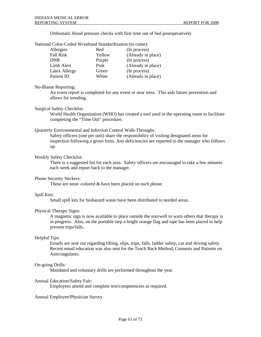Orthostatic blood pressure checks with first time out of bed postoperatively

| National Color-Coded Wristband Standardization (to come): |  |
|-----------------------------------------------------------|--|
|-----------------------------------------------------------|--|

| Allergies            | Red    | (In process)       |
|----------------------|--------|--------------------|
| <b>Fall Risk</b>     | Yellow | (Already in place) |
| <b>DNR</b>           | Purple | (In process)       |
| Limb Alert           | Pink   | (Already in place) |
| <b>Latex Allergy</b> | Green  | (In process)       |
| Patient ID           | White  | (Already in place) |

# No-Blame Reporting:

An event report is completed for any event or near miss. This aids future prevention and allows for trending.

#### Surgical Safety Checklist:

World Health Organization (WHO) has created a tool used in the operating room to facilitate completing the "Time Out" procedure.

# Quarterly Environmental and Infection Control Walk-Throughs:

Safety officers (one per unit) share the responsibility of visiting designated areas for inspection following a given form. Any deficiencies are reported to the manager who follows up.

# Weekly Safety Checklist:

There is a suggested list for each area. Safety officers are encouraged to take a few minutes each week and report back to the manager.

# Phone Security Stickers:

These are neon-colored & have been placed on each phone.

#### Spill Kits:

Small spill kits for biohazard waste have been distributed to needed areas.

# Physical Therapy Signs:

A magnetic sign is now available to place outside the stairwell to warn others that therapy is in progress. Also, on the portable step a bright orange flag and tape has been placed to help prevent trips/falls.

# Helpful Tips:

Emails are sent out regarding lifting, slips, trips, falls, ladder safety, car and driving safety. Recent email education was also sent for the Teach Back Method, Consents and Patients on Anticoagulants.

#### On-going Drills:

Mandated and voluntary drills are performed throughout the year.

#### Annual Education/Safety Fair:

Employees attend and complete test/competencies as required.

#### Annual Employee/Physician Survey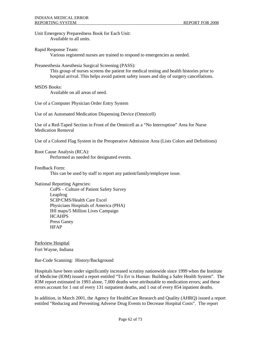Unit Emergency Preparedness Book for Each Unit: Available to all units. Rapid Response Team: Various registered nurses are trained to respond to emergencies as needed. Preanesthesia Anesthesia Surgical Screening (PASS): This group of nurses screens the patient for medical testing and health histories prior to hospital arrival. This helps avoid patient safety issues and day of surgery cancellations. MSDS Books: Available on all areas of need. Use of a Computer Physician Order Entry System Use of an Automated Medication Dispensing Device (Omnicell) Use of a Red-Taped Section in Front of the Omnicell as a "No Interruption" Area for Nurse Medication Removal Use of a Colored Flag System in the Preoperative Admission Area (Lists Colors and Definitions) Root Cause Analysis (RCA): Performed as needed for designated events. Feedback Form: This can be used by staff to report any patient/family/employee issue. National Reporting Agencies: CoPS – Culture of Patient Safety Survey Leapfrog SCIP/CMS/Health Care Excel Physicians Hospitals of America (PHA) IHI maps/5 Million Lives Campaign **HCAHPS** Press Ganey **HFAP** Parkview Hospital Fort Wayne, Indiana Bar-Code Scanning: History/Background

Hospitals have been under significantly increased scrutiny nationwide since 1999 when the Institute of Medicine (IOM) issued a report entitled "To Err is Human: Building a Safer Health System". The IOM report estimated in 1993 alone, 7,000 deaths were attributable to medication errors; and these errors account for 1 out of every 131 outpatient deaths, and 1 out of every 854 inpatient deaths.

In addition, in March 2001, the Agency for HealthCare Research and Quality (AHRQ) issued a report entitled "Reducing and Preventing Adverse Drug Events to Decrease Hospital Costs". The report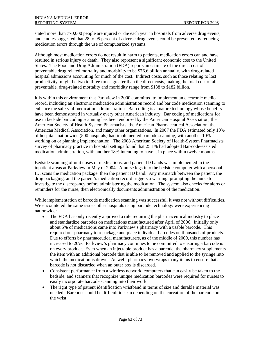stated more than 770,000 people are injured or die each year in hospitals from adverse drug events, and studies suggested that 28 to 95 percent of adverse drug events could be prevented by reducing medication errors through the use of computerized systems.

Although most medication errors do not result in harm to patients, medication errors can and have resulted in serious injury or death. They also represent a significant economic cost to the United States. The Food and Drug Administration (FDA) reports an estimate of the direct cost of preventable drug related mortality and morbidity to be \$76.6 billion annually, with drug-related hospital admissions accounting for much of the cost. Indirect costs, such as those relating to lost productivity, might be two to three times greater than the direct costs, making the total cost of all preventable, drug-related mortality and morbidity range from \$138 to \$182 billion.

It is within this environment that Parkview in 2000 committed to implement an electronic medical record, including an electronic medication administration record and bar code medication scanning to enhance the safety of medication administration. Bar coding is a mature technology whose benefits have been demonstrated in virtually every other American industry. Bar coding of medications for use in bedside bar coding scanning has been endorsed by the American Hospital Association, the American Society of Health-System Pharmacists, the American Pharmaceutical Association, the American Medical Association, and many other organizations. In 2007 the FDA estimated only 10% of hospitals nationwide (500 hospitals) had implemented barcode scanning, with another 10% working on or planning implementation. The 2008 American Society of Health-System Pharmacists survey of pharmacy practice in hospital settings found that 25.1% had adopted Bar-code-assisted medication administration, with another 18% intending to have it in place within twelve months.

Bedside scanning of unit doses of medications, and patient ID bands was implemented in the inpatient areas at Parkview in May of 2004. A nurse logs into the bedside computer with a personal ID, scans the medication package, then the patient ID band. Any mismatch between the patient, the drug packaging, and the patient's medication record triggers a warning, prompting the nurse to investigate the discrepancy before administering the medication. The system also checks for alerts or reminders for the nurse, then electronically documents administration of the medication.

While implementation of barcode medication scanning was successful, it was not without difficulties. We encountered the same issues other hospitals using barcode technology were experiencing nationwide:

- The FDA has only recently approved a rule requiring the pharmaceutical industry to place and standardize barcodes on medications manufactured after April of 2006. Initially only about 5% of medications came into Parkview's pharmacy with a usable barcode. This required our pharmacy to repackage and place individual barcodes on thousands of products. Due to efforts by pharmaceutical manufacturers, as of the middle of 2009, this number has increased to 20%. Parkview's pharmacy continues to be committed to ensuring a barcode is on every product. Even when an injectable product has a barcode, the pharmacy supplements the item with an additional barcode that is able to be removed and applied to the syringe into which the medication is drawn. As well, pharmacy overwraps many items to ensure that a barcode is not discarded when an outer box is discarded.
- Consistent performance from a wireless network, computers that can easily be taken to the bedside, and scanners that recognize unique medication barcodes were required for nurses to easily incorporate barcode scanning into their work.
- The right type of patient identification wristband in terms of size and durable material was needed. Barcodes could be difficult to scan depending on the curvature of the bar code on the wrist.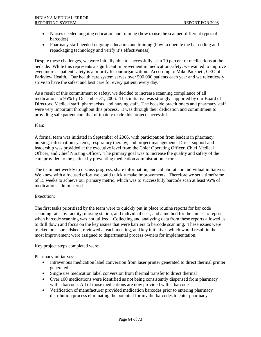- Nurses needed ongoing education and training (how to use the scanner, different types of barcodes)
- Pharmacy staff needed ongoing education and training (how to operate the bar coding and repackaging technology and verify it's effectiveness)

Despite these challenges, we were initially able to successfully scan 79 percent of medications at the bedside. While this represents a significant improvement in medication safety, we wanted to improve even more as patient safety is a priority for our organization. According to Mike Packnett, CEO of Parkview Health, "Our health care system serves over 500,000 patients each year and we relentlessly strive to have the safest and best care for every patient, every day."

As a result of this commitment to safety, we decided to increase scanning compliance of all medications to 95% by December 31, 2006. This initiative was strongly supported by our Board of Directors, Medical staff, pharmacists, and nursing staff. The bedside practitioners and pharmacy staff were very important throughout this process. It was through their dedication and commitment to providing safe patient care that ultimately made this project successful.

#### Plan:

A formal team was initiated in September of 2006, with participation from leaders in pharmacy, nursing, information systems, respiratory therapy, and project management. Direct support and leadership was provided at the executive level from the Chief Operating Officer, Chief Medical Officer, and Chief Nursing Officer. The primary goal was to increase the quality and safety of the care provided to the patient by preventing medication administration errors.

The team met weekly to discuss progress, share information, and collaborate on individual initiatives. We knew with a focused effort we could quickly make improvements. Therefore we set a timeframe of 15 weeks to achieve our primary metric, which was to successfully barcode scan at least 95% of medications administered.

# Execution:

The first tasks prioritized by the team were to quickly put in place routine reports for bar code scanning rates by facility, nursing station, and individual user, and a method for the nurses to report when barcode scanning was not utilized. Collecting and analyzing data from these reports allowed us to drill down and focus on the key issues that were barriers to barcode scanning. These issues were tracked on a spreadsheet, reviewed at each meeting, and key initiatives which would result in the most improvement were assigned to departmental process owners for implementation.

# Key project steps completed were:

Pharmacy initiatives:

- Intravenous medication label conversion from laser printer generated to direct thermal printer generated
- Single use medication label conversion from thermal transfer to direct thermal
- Over 100 medications were identified as not being consistently dispensed from pharmacy with a barcode. All of those medications are now provided with a barcode
- Verification of manufacturer provided medication barcodes prior to entering pharmacy distribution process eliminating the potential for invalid barcodes to enter pharmacy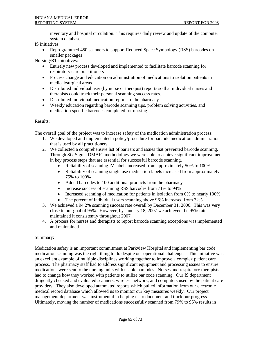inventory and hospital circulation. This requires daily review and update of the computer system database.

IS initiatives

• Reprogrammed 450 scanners to support Reduced Space Symbology (RSS) barcodes on smaller packages

Nursing/RT initiatives:

- Entirely new process developed and implemented to facilitate barcode scanning for respiratory care practitioners
- Process change and education on administration of medications to isolation patients in medical/surgical areas
- Distributed individual user (by nurse or therapist) reports so that individual nurses and therapists could track their personal scanning success rates.
- Distributed individual medication reports to the pharmacy
- Weekly education regarding barcode scanning tips, problem solving activities, and medication specific barcodes completed for nursing

#### Results:

The overall goal of the project was to increase safety of the medication administration process:

- 1. We developed and implemented a policy/procedure for barcode medication administration that is used by all practitioners.
- 2. We collected a comprehensive list of barriers and issues that prevented barcode scanning. Through Six Sigma DMAIC methodology we were able to achieve significant improvement in key process steps that are essential for successful barcode scanning.
	- Reliability of scanning IV labels increased from approximately 50% to 100%
	- Reliability of scanning single use medication labels increased from approximately 75% to 100%
	- Added barcodes to 100 additional products from the pharmacy
	- Increase success of scanning RSS barcodes from 71% to 94%
	- Increased scanning of medication for patients in isolation from 0% to nearly 100%
	- The percent of individual users scanning above 96% increased from 32%.
- 3. We achieved a 94.2% scanning success rate overall by December 31, 2006. This was very close to our goal of 95%. However, by January 18, 2007 we achieved the 95% rate maintained it consistently throughout 2007.
- 4. A process for nurses and therapists to report barcode scanning exceptions was implemented and maintained.

# Summary:

Medication safety is an important commitment at Parkview Hospital and implementing bar code medication scanning was the right thing to do despite our operational challenges. This initiative was an excellent example of multiple disciplines working together to improve a complex patient care process. The pharmacy staff had to address significant equipment and processing issues to ensure medications were sent to the nursing units with usable barcodes. Nurses and respiratory therapists had to change how they worked with patients to utilize bar code scanning. Our IS department diligently checked and evaluated scanners, wireless network, and computers used by the patient care providers. They also developed automated reports which pulled information from our electronic medical record database which allowed us to monitor our key measures weekly. Our project management department was instrumental in helping us to document and track our progress. Ultimately, moving the number of medications successfully scanned from 79% to 95% results in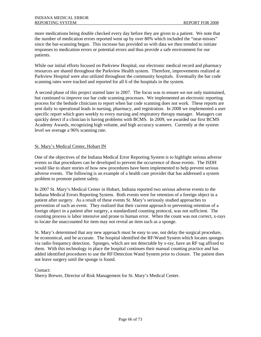more medications being double checked every day before they are given to a patient. We note that the number of medication errors reported went up by over 80% which included the "near-misses" since the bar-scanning began. This increase has provided us with data we then trended to initiate responses to medication errors or potential errors and thus provide a safe environment for our patients.

While our initial efforts focused on Parkview Hospital, our electronic medical record and pharmacy resources are shared throughout the Parkview Health system. Therefore, improvements realized at Parkview Hospital were also utilized throughout the community hospitals. Eventually the bar code scanning rates were tracked and reported for all 6 of the hospitals in the system.

A second phase of this project started later in 2007. The focus was to ensure we not only maintained, but continued to improve our bar code scanning processes. We implemented an electronic reporting process for the bedside clinicians to report when bar code scanning does not work. These reports are sent daily to operational leads in nursing, pharmacy, and registration. In 2008 we implemented a user specific report which goes weekly to every nursing and respiratory therapy manager. Managers can quickly detect if a clinician is having problems with BCMS. In 2009, we awarded our first BCMS Academy Awards, recognizing high volume, and high accuracy scanners. Currently at the system level we average a 96% scanning rate.

# St. Mary's Medical Center, Hobart IN

One of the objectives of the Indiana Medical Error Reporting System is to highlight serious adverse events so that procedures can be developed to prevent the occurrence of those events. The ISDH would like to share stories of how new procedures have been implemented to help prevent serious adverse events. The following is an example of a health care provider that has addressed a system problem to promote patient safety.

In 2007 St. Mary's Medical Center in Hobart, Indiana reported two serious adverse events to the Indiana Medical Errors Reporting System. Both events were for retention of a foreign object in a patient after surgery. As a result of these events St. Mary's seriously studied approaches to prevention of such an event. They realized that their current approach to preventing retention of a foreign object in a patient after surgery, a standardized counting protocol, was not sufficient. The counting process is labor intensive and prone to human error. When the count was not correct, x-rays to locate the unaccounted for item may not reveal an item such as a sponge.

St. Mary's determined that any new approach must be easy to use, not delay the surgical procedure, be economical, and be accurate. The hospital identified the RF/Wand System which locates sponges via radio frequency detection. Sponges, which are not detectable by x-ray, have an RF tag affixed to them. With this technology in place the hospital continues their manual counting practice and has added identified procedures to use the RF/Detection Wand System prior to closure. The patient does not leave surgery until the sponge is found.

#### Contact:

Sherry Brewer, Director of Risk Management for St. Mary's Medical Center.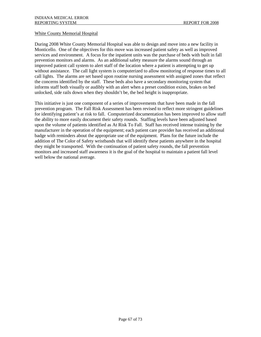#### White County Memorial Hospital

During 2008 White County Memorial Hospital was able to design and move into a new facility in Monticello. One of the objectives for this move was increased patient safety as well as improved services and environment. A focus for the inpatient units was the purchase of beds with built in fall prevention monitors and alarms. As an additional safety measure the alarms sound through an improved patient call system to alert staff of the location where a patient is attempting to get up without assistance. The call light system is computerized to allow monitoring of response times to all call lights. The alarms are set based upon routine nursing assessment with assigned zones that reflect the concerns identified by the staff. These beds also have a secondary monitoring system that informs staff both visually or audibly with an alert when a preset condition exists, brakes on bed unlocked, side rails down when they shouldn't be, the bed height is inappropriate.

This initiative is just one component of a series of improvements that have been made in the fall prevention program. The Fall Risk Assessment has been revised to reflect more stringent guidelines for identifying patient's at risk to fall. Computerized documentation has been improved to allow staff the ability to more easily document their safety rounds. Staffing levels have been adjusted based upon the volume of patients identified as At Risk To Fall. Staff has received intense training by the manufacturer in the operation of the equipment; each patient care provider has received an additional badge with reminders about the appropriate use of the equipment. Plans for the future include the addition of The Color of Safety wristbands that will identify these patients anywhere in the hospital they might be transported. With the continuation of patient safety rounds, the fall prevention monitors and increased staff awareness it is the goal of the hospital to maintain a patient fall level well below the national average.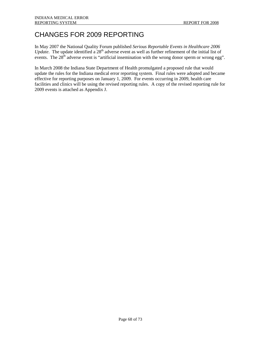# CHANGES FOR 2009 REPORTING

In May 2007 the National Quality Forum published *Serious Reportable Events in Healthcare 2006 Update*. The update identified a 28<sup>th</sup> adverse event as well as further refinement of the initial list of events. The  $28<sup>th</sup>$  adverse event is "artificial insemination with the wrong donor sperm or wrong egg".

In March 2008 the Indiana State Department of Health promulgated a proposed rule that would update the rules for the Indiana medical error reporting system. Final rules were adopted and became effective for reporting purposes on January 1, 2009. For events occurring in 2009, health care facilities and clinics will be using the revised reporting rules. A copy of the revised reporting rule for 2009 events is attached as Appendix J.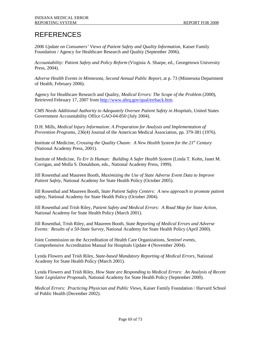# REFERENCES

*2006 Update on Consumers' Views of Patient Safety and Quality Information*, Kaiser Family Foundation / Agency for Healthcare Research and Quality (September 2006).

*Accountability: Patient Safety and Policy Reform* (Virginia A. Sharpe, ed., Georgetown University Press, 2004).

*Adverse Health Events in Minnesota, Second Annual Public Report*, at p. 73 (Minnesota Department of Health, February 2006).

Agency for Healthcare Research and Quality, *Medical Errors: The Scope of the Problem* (2000), Retrieved February 17, 2007 fro[m http://www.ahrq.gov/qual/errback.htm.](http://www.ahrq.gov/qual/errback.htm)

*CMS Needs Additional Authority to Adequately Oversee Patient Safety in Hospitals*, United States Government Accountability Office GAO-04-850 (July 2004).

D.H. Mills, *Medical Injury Information: A Preparation for Analysis and Implementation of Prevention Programs*, 236(4) Journal of the American Medical Association, pp. 379-381 (1976).

Institute of Medicine, *Crossing the Quality Chasm: A New Health System for the 21st Century* (National Academy Press, 2001).

Institute of Medicine, *To Err Is Human: Building A Safer Health System* (Linda T. Kohn, Janet M. Corrigan, and Molla S. Donaldson, eds., National Academy Press, 1999).

Jill Rosenthal and Maureen Booth, *Maximizing the Use of State Adverse Event Data to Improve Patient Safety*, National Academy for State Health Policy (October 2005).

Jill Rosenthal and Maureen Booth, *State Patient Safety Centers: A new approach to promote patient safety*, National Academy for State Health Policy (October 2004).

Jill Rosenthal and Trish Riley, *Patient Safety and Medical Errors: A Road Map for State Action*, National Academy for State Health Policy (March 2001).

Jill Rosenthal, Trish Riley, and Maureen Booth, *State Reporting of Medical Errors and Adverse Events: Results of a 50-State Survey*, National Academy for State Health Policy (April 2000).

Joint Commission on the Accreditation of Health Care Organizations, *Sentinel events*, Comprehensive Accreditation Manual for Hospitals Update 4 (November 2004).

Lynda Flowers and Trish Riley, *State-based Mandatory Reporting of Medical Errors*, National Academy for State Health Policy (March 2001).

Lynda Flowers and Trish Riley, *How State are Responding to Medical Errors: An Analysis of Recent State Legislative Proposals*, National Academy for State Health Policy (September 2000).

*Medical Errors: Practicing Physician and Public Views*, Kaiser Family Foundation / Harvard School of Public Health (December 2002).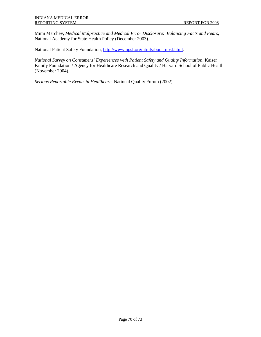Mimi Marchev, *Medical Malpractice and Medical Error Disclosure: Balancing Facts and Fears*, National Academy for State Health Policy (December 2003).

National Patient Safety Foundation[, http://www.npsf.org/html/about\\_npsf.html.](http://www.npsf.oprg/html/about_npsf.html)

*National Survey on Consumers' Experiences with Patient Safety and Quality Information*, Kaiser Family Foundation / Agency for Healthcare Research and Quality / Harvard School of Public Health (November 2004).

*Serious Reportable Events in Healthcare*, National Quality Forum (2002).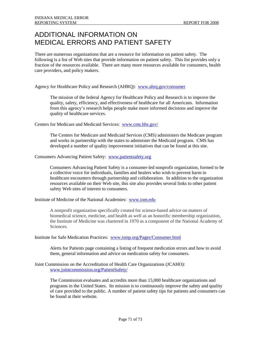## ADDITIONAL INFORMATION ON MEDICAL ERRORS AND PATIENT SAFETY

There are numerous organizations that are a resource for information on patient safety. The following is a list of Web sites that provide information on patient safety. This list provides only a fraction of the resources available. There are many more resources available for consumers, health care providers, and policy makers.

Agency for Healthcare Policy and Research (AHRQ): [www.ahrq.gov/consumer](http://www.ahrq.gov/consumer)

The mission of the federal Agency for Healthcare Policy and Research is to improve the quality, safety, efficiency, and effectiveness of healthcare for all Americans. Information from this agency's research helps people make more informed decisions and improve the quality of healthcare services.

Centers for Medicare and Medicaid Services: [www.cms.hhs.gov/](http://www.cms.hhs.gov/)

The Centers for Medicare and Medicaid Services (CMS) administers the Medicare program and works in partnership with the states to administer the Medicaid program. CMS has developed a number of quality improvement initiatives that can be found at this site.

Consumers Advancing Patient Safety: [www.patientsafety.org](http://www.patientsafety.org/)

Consumers Advancing Patient Safety is a consumer-led nonprofit organization, formed to be a collective voice for individuals, families and healers who wish to prevent harm in healthcare encounters through partnership and collaboration. In addition to the organization resources available on their Web site, this site also provides several links to other patient safety Web sites of interest to consumers.

Institute of Medicine of the National Academies: [www.iom.edu](http://www.iom.edu/)

A nonprofit organization specifically created for science-based advice on matters of biomedical science, medicine, and health as well as an honorific membership organization, the Institute of Medicine was chartered in 1970 as a component of the National Academy of Sciences.

Institute for Safe Medication Practices: [www.ismp.org/Pages/Consumer.html](http://www.ismp.org/Pages/Consumer.html)

Alerts for Patients page containing a listing of frequent medication errors and how to avoid them, general information and advice on medication safety for consumers.

Joint Commission on the Accreditation of Health Care Organizations (JCAHO): [www.jointcommission.org/PatientSafety/](http://www.jointcommission.org/PatientSafety/)

> The Commission evaluates and accredits more than 15,000 healthcare organizations and programs in the United States. Its mission is to continuously improve the safety and quality of care provided to the public. A number of patient safety tips for patients and consumers can be found at their website.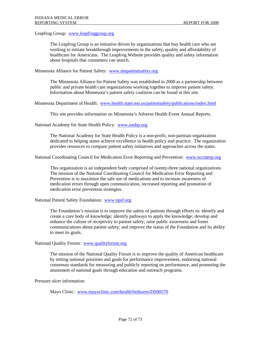Leapfrog Group: [www.leapfroggroup.org](http://www.leapfroggroup.org/)

The Leapfrog Group is an initiative driven by organizations that buy health care who are working to initiate breakthrough improvements in the safety, quality and affordability of healthcare for Americans. The Leapfrog Website provides quality and safety information about hospitals that consumers can search.

Minnesota Alliance for Patient Safety: [www.mnpatientsafety.org](http://www.mnpatientsafety.org/)

The Minnesota Alliance for Patient Safety was established in 2000 as a partnership between public and private health care organizations working together to improve patient safety. Information about Minnesota's patient safety coalition can be found at this site.

Minnesota Department of Health: [www.health.state.mn.us/patientsafety/publications/index.html](http://www.health.state.mn.us/patientsafety/publications/index.html)

This site provides information on Minnesota's Adverse Health Event Annual Reports.

National Academy for State Health Policy: [www.nashp.org](http://www.nashp.org/)

The National Academy for State Health Policy is a non-profit, non-partisan organization dedicated to helping states achieve excellence in health policy and practice. The organization provides resources to compare patient safety initiatives and approaches across the states.

National Coordinating Council for Medication Error Reporting and Prevention: [www.nccmerp.org](http://www.nccmerp.org/)

This organization is an independent body comprised of twenty-three national organizations. The mission of the National Coordinating Council for Medication Error Reporting and Prevention is to maximize the safe use of medications and to increase awareness of medication errors through open communication, increased reporting and promotion of medication error prevention strategies.

National Patient Safety Foundation: [www.npsf.org](http://www.npsf.org/)

The Foundation's mission is to improve the safety of patients through efforts to: identify and create a core body of knowledge; identify pathways to apply the knowledge; develop and enhance the culture of receptivity to patient safety; raise public awareness and foster communications about patient safety; and improve the status of the Foundation and its ability to meet its goals.

## National Quality Forum: [www.qualityforum.org](http://www.qualityforum.org/)

The mission of the National Quality Forum is to improve the quality of American healthcare by setting national priorities and goals for performance improvement, endorsing national consensus standards for measuring and publicly reporting on performance, and promoting the attainment of national goals through education and outreach programs.

Pressure ulcer information

Mayo Clinic: [www.mayoclinic.com/health/bedsores/DS00570](http://www.mayoclinic.com/health/bedsores/DS00570)